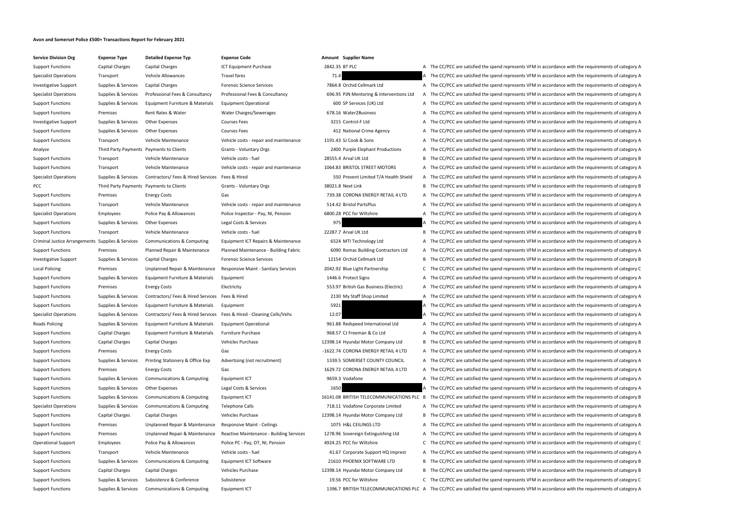# **Avon and Somerset Police £500+ Transactions Report for February 2021**

| <b>Service Division Org</b>  |
|------------------------------|
| <b>Support Functions</b>     |
| <b>Specialist Operations</b> |
| <b>Investigative Support</b> |
| <b>Specialist Operations</b> |
| <b>Support Functions</b>     |
| <b>Support Functions</b>     |
| <b>Investigative Support</b> |
| <b>Support Functions</b>     |
| <b>Support Functions</b>     |
| Analyse                      |
| <b>Support Functions</b>     |
| <b>Support Functions</b>     |
| <b>Specialist Operations</b> |
| PCC                          |
| <b>Support Functions</b>     |
| <b>Support Functions</b>     |
| <b>Specialist Operations</b> |
| <b>Support Functions</b>     |
| <b>Support Functions</b>     |
| Criminal Justice Arrangem    |
| <b>Support Functions</b>     |
|                              |
| <b>Investigative Support</b> |
| Local Policing               |
| <b>Support Functions</b>     |
| <b>Support Functions</b>     |
| <b>Support Functions</b>     |
| <b>Support Functions</b>     |
| <b>Specialist Operations</b> |
| Roads Policing               |
| <b>Support Functions</b>     |
| <b>Support Functions</b>     |
| <b>Support Functions</b>     |
| <b>Support Functions</b>     |
| <b>Support Functions</b>     |
| <b>Support Functions</b>     |
| <b>Support Functions</b>     |
| <b>Support Functions</b>     |
| <b>Specialist Operations</b> |
| <b>Support Functions</b>     |
| <b>Support Functions</b>     |
| <b>Support Functions</b>     |
| <b>Operational Support</b>   |
| <b>Support Functions</b>     |
| <b>Support Functions</b>     |
| <b>Support Functions</b>     |
| <b>Support Functions</b>     |
| <b>Sunnort Eunctions</b>     |

| <b>Expense Type</b>                      | <b>Detailed Expense Typ</b>                    | <b>Expense Code</b>                      |                | <b>Amount</b> Supplier Name |
|------------------------------------------|------------------------------------------------|------------------------------------------|----------------|-----------------------------|
| Capital Charges                          | Capital Charges                                | <b>ICT Equipment Purchase</b>            | 2842.35 BT PLC |                             |
| Transport                                | Vehicle Allowances                             | <b>Travel fares</b>                      | 71.4           |                             |
| Supplies & Services                      | Capital Charges                                | <b>Forensic Science Services</b>         |                | 7864.8 Orchid Cellmar       |
| Supplies & Services                      | Professional Fees & Consultancy                | Professional Fees & Consultancy          |                | 696.95 PJN Mentoring        |
| Supplies & Services                      | Equipment Furniture & Materials                | <b>Equipment Operational</b>             |                | 600 SP Services (UK         |
| Premises                                 | Rent Rates & Water                             | Water Charges/Sewerages                  |                | 678.16 Water2Busines        |
| Supplies & Services                      | <b>Other Expenses</b>                          | <b>Courses Fees</b>                      |                | 3215 Control-F Ltd          |
| Supplies & Services                      | <b>Other Expenses</b>                          | <b>Courses Fees</b>                      |                | 412 National Crime          |
| Transport                                | <b>Vehicle Maintenance</b>                     | Vehicle costs - repair and maintenance   |                | 1191.43 SJ Cook & Sons      |
| Third Party Payments Payments to Clients |                                                | <b>Grants - Voluntary Orgs</b>           |                | 2400 Purple Elephan         |
| Transport                                | Vehicle Maintenance                            | Vehicle costs - fuel                     |                | 28555.4 Arval UK Ltd        |
| Transport                                | Vehicle Maintenance                            | Vehicle costs - repair and maintenance   |                | 1064.83 BRISTOL STREE       |
| Supplies & Services                      | Contractors/Fees & Hired Services Fees & Hired |                                          |                | 550 Prevent Limiter         |
| Third Party Payments Payments to Clients |                                                | <b>Grants - Voluntary Orgs</b>           |                | 38021.8 Next Link           |
| Premises                                 | <b>Energy Costs</b>                            | Gas                                      |                | 739.38 CORONA ENER          |
| Transport                                | Vehicle Maintenance                            | Vehicle costs - repair and maintenance   |                | 514.42 Bristol PartsPlu     |
| <b>Employees</b>                         | Police Pay & Allowances                        | Police Inspector - Pay, NI, Pension      |                | 6800.28 PCC for Wiltshi     |
| Supplies & Services                      | <b>Other Expenses</b>                          | Legal Costs & Services                   | 975            |                             |
| Transport                                | Vehicle Maintenance                            | Vehicle costs - fuel                     |                | 22287.7 Arval UK Ltd        |
| Supplies & Services                      | Communications & Computing                     | Equipment ICT Repairs & Maintenance      |                | 6524 MTI Technolog          |
| Premises                                 | Planned Repair & Maintenance                   | Planned Maintenance - Building Fabric    |                | 6090 Romac Building         |
| Supplies & Services                      | Capital Charges                                | <b>Forensic Science Services</b>         |                | 12154 Orchid Cellmar        |
| Premises                                 | Unplanned Repair & Maintenance                 | Responsive Maint - Sanitary Services     |                | 2042.92 Blue Light Parti    |
| Supplies & Services                      | Equipment Furniture & Materials                | Equipment                                |                | 1446.6 Protect Signs        |
| Premises                                 | <b>Energy Costs</b>                            | Electricity                              |                | 553.97 British Gas Bus      |
| Supplies & Services                      | Contractors/ Fees & Hired Services             | Fees & Hired                             |                | 2130 My Staff Shop I        |
| Supplies & Services                      | Equipment Furniture & Materials                | Equipment                                | 5921           |                             |
| Supplies & Services                      | Contractors/ Fees & Hired Services             | Fees & Hired - Cleaning Cells/Vehs       | 12.07          |                             |
| Supplies & Services                      | Equipment Furniture & Materials                | <b>Equipment Operational</b>             |                | 961.88 Redspeed Inter       |
| <b>Capital Charges</b>                   | Equipment Furniture & Materials                | <b>Furniture Purchase</b>                |                | 968.57 CJ Freeman & 0       |
| <b>Capital Charges</b>                   | Capital Charges                                | Vehicles Purchase                        |                | 12398.14 Hyundai Motor      |
| Premises                                 | <b>Energy Costs</b>                            | Gas                                      |                | -1622.74 CORONA ENER        |
| Supplies & Services                      | Printing Stationery & Office Exp               | Advertising (not recruitment)            |                | 1339.5 SOMERSET COI         |
| Premises                                 | <b>Energy Costs</b>                            | Gas                                      |                | 1629.72 CORONA ENER         |
| Supplies & Services                      | Communications & Computing                     | Equipment ICT                            |                | 9659.3 Vodafone             |
| Supplies & Services                      | <b>Other Expenses</b>                          | Legal Costs & Services                   | 1650           |                             |
| Supplies & Services                      | <b>Communications &amp; Computing</b>          | Equipment ICT                            |                | 16141.08 BRITISH TELECO     |
| Supplies & Services                      | Communications & Computing                     | <b>Telephone Calls</b>                   |                | 718.11 Vodafone Corp        |
| Capital Charges                          | Capital Charges                                | <b>Vehicles Purchase</b>                 |                | 12398.14 Hyundai Motor      |
| Premises                                 | Unplanned Repair & Maintenance                 | <b>Responsive Maint - Ceilings</b>       |                | 1075 H&L CEILINGS I         |
| Premises                                 | Unplanned Repair & Maintenance                 | Reactive Maintenance - Building Services |                | 1278.96 Sovereign Extir     |
| Employees                                | Police Pay & Allowances                        | Police PC - Pay, OT, NI, Pension         |                | 4924.25 PCC for Wiltshi     |
| Transport                                | Vehicle Maintenance                            | Vehicle costs - fuel                     |                | 41.67 Corporate Supp        |
| Supplies & Services                      | Communications & Computing                     | Equipment ICT Software                   |                | 21610 PHOENIX SOFT          |
| Capital Charges                          | Capital Charges                                | Vehicles Purchase                        |                | 12398.14 Hyundai Motor      |
| Supplies & Services                      | Subsistence & Conference                       | Subsistence                              |                | 19.56 PCC for Wiltshi       |
| Supplies & Services                      | Communications & Computing                     | Equipment ICT                            |                | 1396.7 BRITISH TELECO       |
|                                          |                                                |                                          |                |                             |

| 2842.35 BT PLC |                                          |
|----------------|------------------------------------------|
| 71.4           |                                          |
|                | 7864.8 Orchid Cellmark Ltd               |
|                | 696.95 PJN Mentoring & Interventions Ltd |
|                | 600 SP Services (UK) Ltd                 |
|                | 678.16 Water2Business                    |
|                | 3215 Control-F Ltd                       |
|                | 412 National Crime Agency                |
|                | 1191.43 SJ Cook & Sons                   |
|                | 2400 Purple Elephant Productions         |
|                | 28555.4 Arval UK Ltd                     |
|                | 1064.83 BRISTOL STREET MOTORS            |
|                | 550 Prevent Limited T/A Health Shield    |
|                | 38021.8 Next Link                        |
|                | 739.38 CORONA ENERGY RETAIL 4 LTD        |
|                | 514.42 Bristol PartsPlus                 |
|                | 6800.28 PCC for Wiltshire                |
|                | 975                                      |
|                | 22287.7 Arval UK Ltd                     |
|                | 6524 MTI Technology Ltd                  |
|                | 6090 Romac Building Contractors Ltd      |
|                | 12154 Orchid Cellmark Ltd                |
|                | 2042.92 Blue Light Partnership           |
|                | 1446.6 Protect Signs                     |
|                | 553.97 British Gas Business (Electric)   |
|                | 2130 My Staff Shop Limited               |
| 5921           |                                          |
| 12.07          |                                          |
|                | 961.88 Redspeed International Ltd        |
|                | 968.57 CJ Freeman & Co Ltd               |
|                | 12398.14 Hyundai Motor Company Ltd       |
|                | -1622.74 CORONA ENERGY RETAIL 4 LTD      |
|                | 1339.5 SOMERSET COUNTY COUNCIL           |
|                | 1629.72 CORONA ENERGY RETAIL 4 LTD       |
|                | 9659.3 Vodafone                          |
| 1650           |                                          |
|                | 16141.08 BRITISH TELECOMMUNICATIONS PL   |
|                | 718.11 Vodafone Corporate Limited        |
|                | 12398.14 Hyundai Motor Company Ltd       |
|                | 1075 H&L CEILINGS LTD                    |
|                | 1278.96 Sovereign Extinguishing Ltd      |
|                | 4924.25 PCC for Wiltshire                |
|                | 41.67 Corporate Support HQ Imprest       |
|                | 21610 PHOENIX SOFTWARE LTD               |
|                | 12398.14 Hyundai Motor Company Ltd       |

- 
- 

Capital Charges Capital Charges Capital Charges ICT Equipment Purchase 2842.35 BT PLC A The CC/PCC are satisfied the spend represents VFM in accordance with the requirements of category A Transport Vehicle Allowances Travel fares Travel fares Travel fares Travel fares 71.4 A The CC/PCC are satisfied the spend represents VFM in accordance with the requirements of category A Supplies & Services Capital Charges Forensic Science Services 7864.8 Orchid Cellmark Ltd A The CC/PCC are satisfied the spend represents VFM in accordance with the requirements of category A Supplies & Services Professional Fees & Consultancy Professional Fees & Consultancy 696.95 PJN Mentoring & Interventions Ltd A The CC/PCC are satisfied the spend represents VFM in accordance with the requirements of catego Supplies & Services Equipment Furniture & Materials Equipment Operational 600 SP Services (UK) Ltd A The CC/PCC are satisfied the spend represents VFM in accordance with the requirements of category A Premises Rent Rates & Water Water Charges/Sewerages 678.16 Water2Business A The CC/PCC are satisfied the spend represents VFM in accordance with the requirements of category A Supplies & Services Other Expenses Courses Fees Support Support Support Support A The CC/PCC are satisfied the spend represents VFM in accordance with the requirements of category A Supplies & Services Other Expenses Courses Fees 60 Courses Fees 412 National Crime Agency A The CC/PCC are satisfied the spend represents VFM in accordance with the requirements of category A Transport Vehicle Maintenance Vehicle costs - repair and maintenance 1191.43 SJ Cook & Sons A The CC/PCC are satisfied the spend represents VFM in accordance with the requirements of category A Third Party Payments Payments to Clients Grants - Voluntary Orgs 2400 Purple Elephant Productions A The CC/PCC are satisfied the spend represents VFM in accordance with the requirements of category A Transport Vehicle Maintenance Vehicle costs - fuel 28555.4 Arval UK Ltd B The CC/PCC are satisfied the spend represents VFM in accordance with the requirements of category B Transport Vehicle Maintenance Vehicle costs - repair and maintenance 1064.83 BRISTOL STREET MOTORS A The CC/PCC are satisfied the spend represents VFM in accordance with the requirements of category A Supplies & Services Contractors/ Fees & Hired Services Fees & Hired Manuscules Hired T/A Health Shield A The CC/PCC are satisfied the spend represents VFM in accordance with the requirements of category A Third Party Payments Payments to Clients Grants - Voluntary Orgs 38021.8 Next Link B The CC/PCC are satisfied the spend represents VFM in accordance with the requirements of category B Premises Energy Costs Gas Gas Functions Costs Gas The CORONA ENERGY RETAIL 4 LTD A The CC/PCC are satisfied the spend represents VFM in accordance with the requirements of category A Transport Vehicle Maintenance Vehicle costs - repair and maintenance 514.42 Bristol PartsPlus A The CC/PCC are satisfied the spend represents VFM in accordance with the requirements of category A Employees Police Pay & Allowances Police Inspector - Pay, NI, Pension 6800.28 PCC for Wiltshire A The CC/PCC are satisfied the spend represents VFM in accordance with the requirements of category A Supplies & Services Other Expenses Legal Costs & Services 975 975 A The CC/PCC are satisfied the spend represents VFM in accordance with the requirements of category A Transport Vehicle Maintenance Vehicle costs - fuel 22287.7 Arval UK Ltd B The CC/PCC are satisfied the spend represents VFM in accordance with the requirements of category B ments Supplies & Services Communications & Computing Equipment ICT Repairs & Maintenance 6524 MTI Technology Ltd A The CC/PCC are satisfied the spend represents VFM in accordance with the requirements of category A Planned Repair & Maintenance Planned Maintenance - Building Fabric 6090 Romac Building Contractors Ltd A The CC/PCC are satisfied the spend represents VFM in accordance with the requirements of category A Supplies & Services Capital Charges Forensic Science Services 12154 Orchid Cellmark Ltd B The CC/PCC are satisfied the spend represents VFM in accordance with the requirements of category B Premises Unplanned Repair & Maintenance Responsive Maint - Sanitary Services 2042.92 Blue Light Partnership C The CC/PCC are satisfied the spend represents VFM in accordance with the requirements of category C Supplies & Services Equipment Furniture & Materials Equipment 1446.6 Protect Signs 1446.6 Protect Signs A The CC/PCC are satisfied the spend represents VFM in accordance with the requirements of category A Premises Energy Costs Electricity Electricity SESS.97 British Gas Business (Electric) A The CC/PCC are satisfied the spend represents VFM in accordance with the requirements of category A Supplies & Services Contractors/ Fees & Hired Services Fees & Hired Services Supported 2130 My Staff Shop Limited A The CC/PCC are satisfied the spend represents VFM in accordance with the requirements of category A Supplies & Services Equipment Furniture & Materials Equipment S921 5921 5921 5921 A The CC/PCC are satisfied the spend represents VFM in accordance with the requirements of category A Supplies & Services Contractors/ Fees & Hired Services Fees & Hired - Cleaning Cells/Vehs 12.07 A The CC/PCC are satisfied the spend represents VFM in accordance with the requirements of category A Supplies & Services Equipment Furniture & Materials Equipment Operational 10 961.88 Redspeed International Ltd A The CC/PCC are satisfied the spend represents VFM in accordance with the requirements of category A Capital Charges Equipment Furniture & Materials Furniture Purchase 968.57 CJ Freeman & Co Ltd A The CC/PCC are satisfied the spend represents VFM in accordance with the requirements of category A Capital Charges Capital Charges Vehicles Purchase 12398.14 Hyundai Motor Company Ltd B The CC/PCC are satisfied the spend represents VFM in accordance with the requirements of category B Premises Energy Costs Gas Gas Functions Gas Functions Premises and A The CC/PCC are satisfied the spend represents VFM in accordance with the requirements of category A Supplies & Services Printing Stationery & Office Exp Advertising (not recruitment) 1339.5 SOMERSET COUNTY COUNCIL A The CC/PCC are satisfied the spend represents VFM in accordance with the requirements of category A Premises Energy Costs Gas Gas Functions Gas Functions Corona ENERGY RETAIL 4 LTD A The CC/PCC are satisfied the spend represents VFM in accordance with the requirements of category A Supplies & Services Communications & Computing Equipment ICT 9659.3 Vodafone 9659.3 Vodafone A The CC/PCC are satisfied the spend represents VFM in accordance with the requirements of category A Supplies & Services Other Expenses Legal Costs & Services 1650 1650 A The CC/PCC are satisfied the spend represents VFM in accordance with the requirements of category A Supplies & Services Communications & Computing Equipment ICT 16141.08 BRITISH TELECOMMUNICATIONS PLC B The CC/PCC are satisfied the spend represents VFM in accordance with the requirements of category B Supplies & Services Communications & Computing Telephone Calls 718.11 Vodafone Corporate Limited A The CC/PCC are satisfied the spend represents VFM in accordance with the requirements of category A Capital Charges Capital Charges Vehicles Purchase Vehicles Purchase 12398.14 Hyundai Motor Company Ltd B The CC/PCC are satisfied the spend represents VFM in accordance with the requirements of category B Premises Unplanned Repair & Maintenance Responsive Maint - Ceilings 1075 H&L CEILINGS LTD A The CC/PCC are satisfied the spend represents VFM in accordance with the requirements of category A Premises Unplanned Repair & Maintenance Reactive Maintenance - Building Services 1278.96 Sovereign Extinguishing Ltd A The CC/PCC are satisfied the spend represents VFM in accordance with the requirements of category A Employees Police Pay & Allowances Police PC - Pay, OT, NI, Pension 4924.25 PCC for Wiltshire C The CC/PCC are satisfied the spend represents VFM in accordance with the requirements of category C Transport Vehicle Maintenance Vehicle costs - fuel 41.67 Corporate Support HQ Imprest A The CC/PCC are satisfied the spend represents VFM in accordance with the requirements of category A Supplies & Services Communications & Computing Equipment ICT Software 21610 PHOENIX SOFTWARE LTD B The CC/PCC are satisfied the spend represents VFM in accordance with the requirements of category B Capital Charges Capital Charges Vehicles Purchase Vehicles Purchase 12398.14 Hyundai Motor Company Ltd B The CC/PCC are satisfied the spend represents VFM in accordance with the requirements of category B Supplies & Services Subsistence & Conference Subsistence Subsistence 19.56 PCC for Wiltshire C The CC/PCC are satisfied the spend represents VFM in accordance with the requirements of category C Support Functions Supplies & Services Communications & Computing Equipment ICT 1396.7 BRITISH TELECOMMUNICATIONS PLC A The CC/PCC are satisfied the spend represents VFM in accordance with the requirements of category A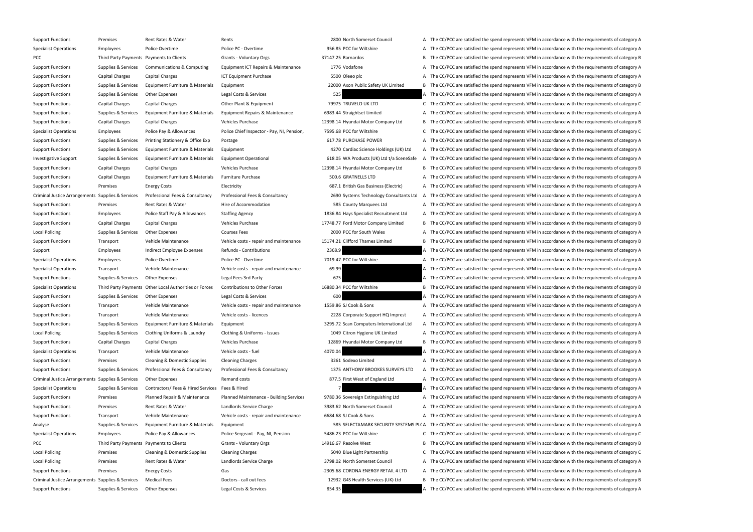Support Functions Premises Rent Rates & Water Rents Rents Rents 2800 North Somerset Council A The CC/PCC are satisfied the spend represents VFM in accordance with the requirements of category A

Specialist Operations Employees Police Overtime Police PC - Overtime 956.85 PCC for Wiltshire A The CC/PCC are satisfied the spend represents VFM in accordance with the requirements of category A PCC Third Party Payments Payments to Clients Grants - Voluntary Orgs 37147.25 Barnardos B The CC/PCC are satisfied the spend represents VFM in accordance with the requirements of category B Support Functions Supplies & Services Communications & Computing Equipment ICT Repairs & Maintenance 1776 Vodafone A The CC/PCC are satisfied the spend represents VFM in accordance with the requirements of category A Support Functions Capital Charges Capital Charges ICT Equipment Purchase 5500 Oleeo plc A The CC/PCC are satisfied the spend represents VFM in accordance with the requirements of category A Support Functions Supplies & Services Equipment Furniture & Materials Equipment 22000 Axon Public Safety UK Limited B The CC/PCC are satisfied the spend represents VFM in accordance with the requirements of category B Support Functions Supplies & Services Other Expenses Legal Costs & Services 525 A The CC/PCC are satisfied the spend represents VFM in accordance with the requirements of category A Support Functions Capital Charges Capital Charges Other Plant & Equipment 79975 TRUVELO UK LTD C The CC/PCC are satisfied the spend represents VFM in accordance with the requirements of category C Support Functions Supplies & Services Equipment Furniture & Materials Equipment Repairs & Maintenance 6983.44 Straightset Limited A The CC/PCC are satisfied the spend represents VFM in accordance with the requirements of c Support Functions Capital Charges Capital Charges Vehicles Purchase Vehicles Purchase 12398.14 Hyundai Motor Company Ltd B The CC/PCC are satisfied the spend represents VFM in accordance with the requirements of category B Specialist Operations Employees Police Pay & Allowances Police Chief Inspector - Pay, NI, Pension, 7595.68 PCC for Wiltshire C The CC/PCC are satisfied the spend represents VFM in accordance with the requirements of catego Support Functions Supplies & Services Printing Stationery & Office Exp Postage exp exposure 617.78 PURCHASE POWER A The CC/PCC are satisfied the spend represents VFM in accordance with the requirements of category A Support Functions Supplies & Services Equipment Furniture & Materials Equipment 4270 Cardiac Science Holdings (UK) Ltd A The CC/PCC are satisfied the spend represents VFM in accordance with the requirements of category A Investigative Support Supplies & Services Equipment Furniture & Materials Equipment Operational 618.05 WA Products (UK) Ltd t/a SceneSafe A The CC/PCC are satisfied the spend represents VFM in accordance with the requireme Support Functions Capital Charges Capital Charges Vehicles Purchase Vehicles Purchase 12398.14 Hyundai Motor Company Ltd B The CC/PCC are satisfied the spend represents VFM in accordance with the requirements of category B Support Functions Capital Charges Equipment Furniture & Materials Furniture Purchase 500.6 GRATNELLS LTD A The CC/PCC are satisfied the spend represents VFM in accordance with the requirements of category A Support Functions Premises Energy Costs Electricity Electricity Electricity 687.1 British Gas Business (Electric) A The CC/PCC are satisfied the spend represents VFM in accordance with the requirements of category A Criminal Justice Arrangements Supplies & Services Professional Fees & Consultancy Professional Fees & Consultancy Professional Fees & Consultancy Professional Fees & Consultancy 2690 Systems Technology Consultants Ltd A Th Support Functions Premises Rent Rates & Water Hire of Accommodation Hire of Accommodation 585 County Marquees Ltd A The CC/PCC are satisfied the spend represents VFM in accordance with the requirements of category A Support Functions Employees Police Staff Pay & Allowances Staffing Agency 1836.84 Hays Specialist Recruitment Ltd A The CC/PCC are satisfied the spend represents VFM in accordance with the requirements of category A Support Functions Capital Charges Capital Charges Vehicles Purchase Vehicles Purchase 17748.77 Ford Motor Company Limited B The CC/PCC are satisfied the spend represents VFM in accordance with the requirements of category Local Policing Supplies & Services Other Expenses Courses Fees Courses Fees 2000 PCC for South Wales A The CC/PCC are satisfied the spend represents VFM in accordance with the requirements of category A Support Functions Transport Vehicle Maintenance Vehicle costs - repair and maintenance 15174.21 Clifford Thames Limited B The CC/PCC are satisfied the spend represents VFM in accordance with the requirements of category B Support Employees Indirect Employee Expenses Refunds - Contributions 2368.9 2368.9 A The CC/PCC are satisfied the spend represents VFM in accordance with the requirements of category A Specialist Operations Employees Police Overtime Police PC - Overtime 7019.47 PCC for Wiltshire A The CC/PCC are satisfied the spend represents VFM in accordance with the requirements of category A Specialist Operations Transport Vehicle Maintenance Vehicle costs - repair and maintenance 69.99 A The CC/PCC are satisfied the spend represents VFM in accordance with the requirements of category A Support Functions Supplies & Services Other Expenses Legal Fees 3rd Party Legal Fees 3rd Party 675 A The CC/PCC are satisfied the spend represents VFM in accordance with the requirements of category A Specialist Operations Third Party Payments Other Local Authorities or Forces Contributions to Other Forces 16880.34 PCC for Wiltshire B The CC/PCC are satisfied the spend represents VFM in accordance with the requirements Support Functions Supplies & Services Other Expenses Legal Costs & Services 600 A The CC/PCC are satisfied the spend represents VFM in accordance with the requirements of category A Support Functions Transport Vehicle Maintenance Vehicle costs - repair and maintenance 1559.86 SJ Cook & Sons A The CC/PCC are satisfied the spend represents VFM in accordance with the requirements of category A Support Functions Transport Vehicle Maintenance Vehicle costs - licences 2228 Corporate Support HQ Imprest A The CC/PCC are satisfied the spend represents VFM in accordance with the requirements of category A Support Functions Supplies & Services Equipment Furniture & Materials Equipment 3295.72 Scan Computers International Ltd A The CC/PCC are satisfied the spend represents VFM in accordance with the requirements of category A Local Policing Supplies & Services Clothing Uniforms & Laundry Clothing & Uniforms - Issues 1049 Citron Hygiene UK Limited A The CC/PCC are satisfied the spend represents VFM in accordance with the requirements of category Support Functions Capital Charges Capital Charges Vehicles Purchase Vehicles Purchase 12869 Hyundai Motor Company Ltd B The CC/PCC are satisfied the spend represents VFM in accordance with the requirements of category B Specialist Operations Transport Vehicle Maintenance Vehicle costs - fuel 4070.04 A The CC/PCC are satisfied the spend represents VFM in accordance with the requirements of category A Support Functions Premises Cleaning & Domestic Supplies Cleaning Charges 2261 Sodexo Limited A The CC/PCC are satisfied the spend represents VFM in accordance with the requirements of category A Support Functions Supplies & Services Professional Fees & Consultancy Professional Fees & Consultancy Professional Fees & Consultancy Professional Fees & Consultancy 21375 ANTHONY BROOKES SURVEYS LTD A The CC/PCC are satis Criminal Justice Arrangements Supplies & Services Other Expenses Remand costs Remand costs 877.5 First West of England Ltd A The CC/PCC are satisfied the spend represents VFM in accordance with the requirements of category Specialist Operations Supplies & Services Contractors/ Fees & Hired Services Fees & Hired The Manual 2 A The CC/PCC are satisfied the spend represents VFM in accordance with the requirements of category A Support Functions Premises Planned Repair & Maintenance Planned Maintenance - Building Services 9780.36 Sovereign Extinguishing Ltd A The CC/PCC are satisfied the spend represents VFM in accordance with the requirements of Support Functions Premises Rent Rates & Water Landlords Service Charge 3983.62 North Somerset Council A The CC/PCC are satisfied the spend represents VFM in accordance with the requirements of category A Support Functions Transport Vehicle Maintenance Vehicle costs - repair and maintenance 6684.68 SJ Cook & Sons A The CC/PCC are satisfied the spend represents VFM in accordance with the requirements of category A Analyse Supplies & Services Equipment Furniture & Materials Equipment Supplies Equipment 585 SELECTAMARK SECURITY SYSTEMS PLC A The CC/PCC are satisfied the spend represents VFM in accordance with the requirements of categ Specialist Operations Employees Police Pay & Allowances Police Sergeant - Pay, NI, Pension 5486.23 PCC for Wiltshire C The CC/PCC are satisfied the spend represents VFM in accordance with the requirements of category C PCC Third Party Payments Payments to Clients Grants - Voluntary Orgs 14916.67 Resolve West B The CC/PCC are satisfied the spend represents VFM in accordance with the requirements of category B Local Policing Premises Cleaning & Domestic Supplies Cleaning Charges 5040 Blue Light Partnership C The CC/PCC are satisfied the spend represents VFM in accordance with the requirements of category C Local Policing Premises Rent Rates & Water Landlords Service Charge 3798.02 North Somerset Council A The CC/PCC are satisfied the spend represents VFM in accordance with the requirements of category A Support Functions Premises Energy Costs Gas Gas Functions Carolyne and A The CC/PCC are satisfied the spend represents VFM in accordance with the requirements of category A Criminal Justice Arrangements Supplies & Services Medical Fees Doctors - call out fees 12932 G4S Health Services (UK) Ltd B The CC/PCC are satisfied the spend represents VFM in accordance with the requirements of category Support Functions Supplies & Services Other Expenses Legal Costs & Services 854.35 A The CC/PCC are satisfied the spend represents VFM in accordance with the requirements of category A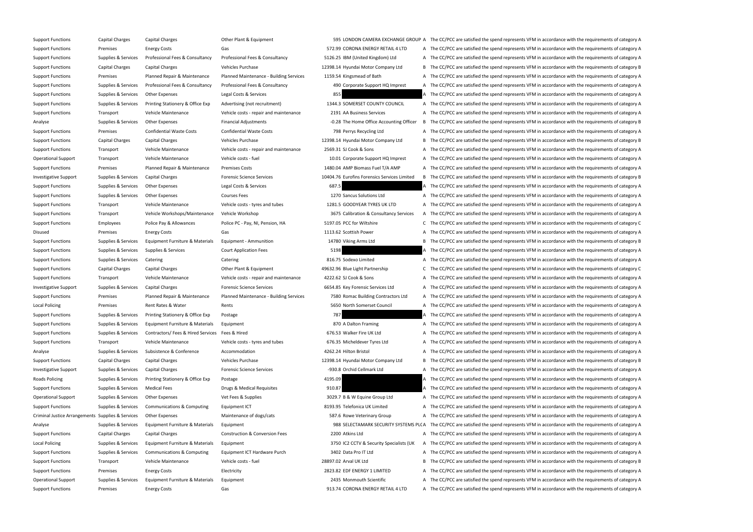Support Functions Capital Charges Capital Charges Other Plant & Equipment Other Plant & Equipment 595 LONDON CAMERA EXCHANGE GROUP A The CC/PCC are satisfied the spend represents VFM in accordance with the requirements of Support Functions Premises Energy Costs Gas Gas Gas Strawbury Costs Gas Strawbury Costs Gas Strawbury Costs Gas Strawbury Costs Gas Strawbury Costs Category A Strawbury A The CC/PCC are satisfied the spend represents VFM i Support Functions Supplies & Services Professional Fees & Consultancy Professional Fees & Consultancy Professional Fees & Consultancy Professional Fees & Consultancy B126.25 IBM (United Kingdom) Ltd A The CC/PCC are satisf Support Functions Capital Charges Capital Charges Vehicles Purchase Vehicles Purchase 12398.14 Hyundai Motor Company Ltd B The CC/PCC are satisfied the spend represents VFM in accordance with the requirements of category B Support Functions Premises Planned Repair & Maintenance Planned Maintenance - Building Services 1159.54 Kingsmead of Bath A The CC/PCC are satisfied the spend represents VFM in accordance with the requirements of category Support Functions Supplies & Services Professional Fees & Consultancy Professional Fees & Consultancy Professional Fees & Consultancy Professional Fees & Consultancy 200 Corporate Support HQ Imprest A The CC/PCC are satisf Support Functions Supplies & Services Other Expenses Legal Costs & Services A The CC/PCC are satisfied the spend represents VFM in accordance with the requirements of category A Support Functions Supplies & Services Printing Stationery & Office Exp Advertising (not recruitment) 1344.3 SOMERSET COUNTY COUNCIL A The CC/PCC are satisfied the spend represents VFM in accordance with the requirements of Support Functions Transport Vehicle Maintenance Vehicle costs - repair and maintenance 2191 AA Business Services A The CC/PCC are satisfied the spend represents VFM in accordance with the requirements of category A Analyse Supplies & Services Other Expenses Financial Adjustments Financial Adjustments -0.28 The Home Office Accounting Officer B The CC/PCC are satisfied the spend represents VFM in accordance with the requirements of cat Support Functions Premises Confidential Waste Costs Confidential Waste Costs Confidential Waste Costs Confidential Waste Costs Confidential Waste Costs 798 Perrys Recycling Ltd A The CC/PCC are satisfied the spend represen Support Functions Capital Charges Capital Charges Vehicles Purchase Vehicles Purchase 12398.14 Hyundai Motor Company Ltd B The CC/PCC are satisfied the spend represents VFM in accordance with the requirements of category B Support Functions Transport Vehicle Maintenance Vehicle costs - repair and maintenance 2569.31 SJ Cook & Sons A The CC/PCC are satisfied the spend represents VFM in accordance with the requirements of category A Operational Support Transport Vehicle Maintenance Vehicle costs - fuel 10.01 Corporate Support HQ Imprest A The CC/PCC are satisfied the spend represents VFM in accordance with the requirements of category A Support Functions Premises Planned Repair & Maintenance Premises Costs 1480.04 AMP Biomass Fuel T/A AMP A The CC/PCC are satisfied the spend represents VFM in accordance with the requirements of category A Investigative Support Supplies & Services Capital Charges Forensic Science Services Forensic Science Services 10404.76 Eurofins Forensics Services Limited B The CC/PCC are satisfied the spend represents VFM in accordance w Support Functions Supplies & Services Other Expenses Legal Costs & Services 687.5 A The CC/PCC are satisfied the spend represents VFM in accordance with the requirements of category A Support Functions Supplies & Services Other Expenses Courses Fees Courses Fees 1270 Sancus Solutions Ltd A The CC/PCC are satisfied the spend represents VFM in accordance with the requirements of category A Support Functions Transport Vehicle Maintenance Vehicle costs - tyres and tubes 1281.5 GOODYEAR TYRES UK LTD A The CC/PCC are satisfied the spend represents VFM in accordance with the requirements of category A Support Functions Transport Vehicle Workshops/Maintenance Vehicle Workshop 3675 Calibration & Consultancy Services A The CC/PCC are satisfied the spend represents VFM in accordance with the requirements of category A Support Functions Employees Police Pay & Allowances Police PC - Pay, NI, Pension, HA 5197.05 PCC for Wiltshire C The CC/PCC are satisfied the spend represents VFM in accordance with the requirements of category C Disused Premises Energy Costs Gas Gas Gas 1113.62 Scottish Power A The CC/PCC are satisfied the spend represents VFM in accordance with the requirements of category A Support Functions Supplies & Services Equipment Furniture & Materials Equipment - Ammunition 14780 Viking Arms Ltd B The CC/PCC are satisfied the spend represents VFM in accordance with the requirements of category B Support Functions Supplies & Services Supplies & Services Court Application Fees 5198 5198 A The CC/PCC are satisfied the spend represents VFM in accordance with the requirements of category A Support Functions Supplies & Services Catering Catering Catering Catering S16.75 Sodexo Limited A The CC/PCC are satisfied the spend represents VFM in accordance with the requirements of category A Support Functions Capital Charges Capital Charges Other Plant & Equipment 49632.96 Blue Light Partnership C The CC/PCC are satisfied the spend represents VFM in accordance with the requirements of category C Support Functions Transport Vehicle Maintenance Vehicle costs - repair and maintenance 4222.62 SJ Cook & Sons A The CC/PCC are satisfied the spend represents VFM in accordance with the requirements of category A Investigative Support Supplies & Services Capital Charges Forensic Science Services 6654.85 Key Forensic Services Ltd A The CC/PCC are satisfied the spend represents VFM in accordance with the requirements of category A Support Functions Premises Premises Planned Repair & Maintenance Planned Maintenance - Building Services 7580 Romac Building Contractors Ltd A The CC/PCC are satisfied the spend represents VFM in accordance with the requir Local Policing Premises Rent Rates & Water Rents Rents Rents Rents S650 North Somerset Council A The CC/PCC are satisfied the spend represents VFM in accordance with the requirements of category A Support Functions Supplies & Services Printing Stationery & Office Exp Postage 787 787 787 A The CC/PCC are satisfied the spend represents VFM in accordance with the requirements of category A Support Functions Supplies & Services Equipment Furniture & Materials Equipment a a same a strate and a STO A Dalton Framing A The CC/PCC are satisfied the spend represents VFM in accordance with the requirements of catego Support Functions Supplies & Services Contractors/ Fees & Hired Services Fees & Hired Services Fees & Hired 676.53 Walker Fire UK Ltd A The CC/PCC are satisfied the spend represents VFM in accordance with the requirements Support Functions Transport Vehicle Maintenance Vehicle costs - tyres and tubes 676.35 Micheldever Tyres Ltd A The CC/PCC are satisfied the spend represents VFM in accordance with the requirements of category A Analyse Supplies & Services Subsistence & Conference Accommodation Accommodation 4262.24 Hilton Bristol A The CC/PCC are satisfied the spend represents VFM in accordance with the requirements of category A Support Functions Capital Charges Capital Charges Vehicles Purchase Vehicles Purchase 12398.14 Hyundai Motor Company Ltd B The CC/PCC are satisfied the spend represents VFM in accordance with the requirements of category B Investigative Support Supplies & Services Capital Charges Forensic Science Services -930.8 Orchid Cellmark Ltd A The CC/PCC are satisfied the spend represents VFM in accordance with the requirements of category A Roads Policing Supplies & Services Printing Stationery & Office Exp Postage Printing Stationery & Office Exp Postage 4195.09 4195.09 A The CC/PCC are satisfied the spend represents VFM in accordance with the requirements o Support Functions Supplies & Services Medical Fees Drugs & Medical Requisites 910.87 A The CC/PCC are satisfied the spend represents VFM in accordance with the requirements of category A Operational Support Supplies & Services Other Expenses Vet Fees & Supplies Vet Fees & Supplies 3029.7 B & W Equine Group Ltd A The CC/PCC are satisfied the spend represents VFM in accordance with the requirements of catego Support Functions Supplies & Services Communications & Computing Equipment ICT 8193.95 Telefonica UK Limited A The CC/PCC are satisfied the spend represents VFM in accordance with the requirements of category A Criminal Justice Arrangements Supplies & Services Other Expenses Maintenance of dogs/cats Maintenance of dogs/cats 587.6 Rowe Veterinary Group A The CC/PCC are satisfied the spend represents VFM in accordance with the requ Analyse Supplies & Services Equipment Furniture & Materials Equipment extends and the SECURITY SYSTEMS PLCA The CC/PCC are satisfied the spend represents VFM in accordance with the requirements of category A Support Functions Capital Charges Capital Charges Construction & Conversion Fees 2200 Atkins Ltd A The CC/PCC are satisfied the spend represents VFM in accordance with the requirements of category A Local Policing Supplies & Services Equipment Furniture & Materials Equipment 3750 IC2 CCTV & Security Specialists (UK A The CC/PCC are satisfied the spend represents VFM in accordance with the requirements of category A Support Functions Supplies & Services Communications & Computing Equipment ICT Hardware Purch 3402 Data Pro IT Ltd A The CC/PCC are satisfied the spend represents VFM in accordance with the requirements of category A Support Functions Transport Vehicle Maintenance Vehicle costs - fuel 28897.02 Arval UK Ltd B The CC/PCC are satisfied the spend represents VFM in accordance with the requirements of category B Support Functions Premises Energy Costs Electricity Electricity and the COSTS 2823.82 EDF ENERGY 1 LIMITED A The CC/PCC are satisfied the spend represents VFM in accordance with the requirements of category A Operational Support Supplies & Services Equipment Furniture & Materials Equipment 2435 Monmouth Scientific 2435 Monmouth Scientific A The CC/PCC are satisfied the spend represents VFM in accordance with the requirements of Support Functions Premises Energy Costs Gas Gas Gas Service A Support ETAIL 4 LTD A The CC/PCC are satisfied the spend represents VFM in accordance with the requirements of category A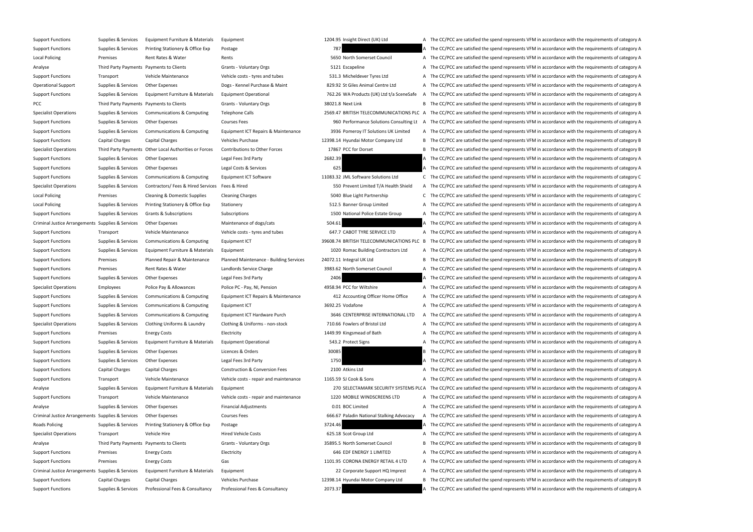Support Functions Supplies & Services Equipment Furniture & Materials Equipment 1204.95 Insight Direct (UK) Ltd A The CC/PCC are satisfied the spend represents VFM in accordance with the requirements of category A Support Functions Supplies & Services Printing Stationery & Office Exp Postage 787 787 787 A The CC/PCC are satisfied the spend represents VFM in accordance with the requirements of category A Local Policing Premises Rent Rates & Water Rents Rents Rents Rents S650 North Somerset Council A The CC/PCC are satisfied the spend represents VFM in accordance with the requirements of category A Analyse Third Party Payments Payments to Clients Grants - Voluntary Orgs 5121 Escapeline A The CC/PCC are satisfied the spend represents VFM in accordance with the requirements of category A Support Functions Transport Vehicle Maintenance Vehicle costs - tyres and tubes 531.3 Micheldever Tyres Ltd A The CC/PCC are satisfied the spend represents VFM in accordance with the requirements of category A Operational Support Supplies & Services Other Expenses Dogs - Kennel Purchase & Maint 829.92 St Giles Animal Centre Ltd A The CC/PCC are satisfied the spend represents VFM in accordance with the requirements of category A Support Functions Supplies & Services Equipment Furniture & Materials Equipment Operational 762.26 WA Products (UK) Ltd t/a SceneSafe A The CC/PCC are satisfied the spend represents VFM in accordance with the requirements PCC Third Party Payments Payments to Clients Grants - Voluntary Orgs 38021.8 Next Link B The CC/PCC are satisfied the spend represents VFM in accordance with the requirements of category B Specialist Operations Supplies & Services Communications & Computing Telephone Calls 2569.47 BRITISH TELECOMMUNICATIONS PLC A The CC/PCC are satisfied the spend represents VFM in accordance with the requirements of categor Support Functions Supplies & Services Other Expenses Courses Fees Courses Fees 960 Performance Solutions Consulting Lt A The CC/PCC are satisfied the spend represents VFM in accordance with the requirements of category A Support Functions Supplies & Services Communications & Computing Equipment ICT Repairs & Maintenance 3936 Pomeroy IT Solutions UK Limited A The CC/PCC are satisfied the spend represents VFM in accordance with the requireme Support Functions Capital Charges Capital Charges Vehicles Purchase Vehicles Purchase 12398.14 Hyundai Motor Company Ltd B The CC/PCC are satisfied the spend represents VFM in accordance with the requirements of category B Specialist Operations Third Party Payments Other Local Authorities or Forces Contributions to Other Forces 17867 PCC for Dorset B The CC/PCC are satisfied the spend represents VFM in accordance with the requirements of cat Support Functions Supplies & Services Other Expenses Legal Fees 3rd Party 2682.39 2682.39 A The CC/PCC are satisfied the spend represents VFM in accordance with the requirements of category A Support Functions Supplies & Services Other Expenses Legal Costs & Services A Legal Costs & Services Costs & Services 625 A The CC/PCC are satisfied the spend represents VFM in accordance with the requirements of category Support Functions Supplies & Services Communications & Computing Equipment ICT Software 11083.32 JML Software Solutions Ltd C The CC/PCC are satisfied the spend represents VFM in accordance with the requirements of categor Specialist Operations Supplies & Services Contractors/ Fees & Hired Services Fees & Hired Services Fees & Hired Services Fees & Hired Services Fees & Hired Services Fees & Hired Services Fees & Hired Services Services Fees Local Policing Premises Cleaning & Domestic Supplies Cleaning Charges 5040 Blue Light Partnership C The CC/PCC are satisfied the spend represents VFM in accordance with the requirements of category C Local Policing Supplies & Services Printing Stationery & Office Exp Stationery 512.5 Banner Group Limited A The CC/PCC are satisfied the spend represents VFM in accordance with the requirements of category A Support Functions Supplies & Services Grants & Subscriptions Subscriptions Subscriptions Subscriptions 1500 National Police Estate Group A The CC/PCC are satisfied the spend represents VFM in accordance with the requiremen Criminal Justice Arrangements Supplies & Services Other Expenses Maintenance of dogs/cats Maintenance of dogs/cats 504.61 A The CC/PCC are satisfied the spend represents VFM in accordance with the requirements of category Support Functions Transport Vehicle Maintenance Vehicle costs - tyres and tubes 647.7 CABOT TYRE SERVICE LTD A The CC/PCC are satisfied the spend represents VFM in accordance with the requirements of category A Support Functions Supplies & Services Communications & Computing Equipment ICT 39608.74 BRITISH TELECOMMUNICATIONS PLC B The CC/PCC are satisfied the spend represents VFM in accordance with the requirements of category B Support Functions Supplies & Services Equipment Furniture & Materials Equipment 1020 Romac Building Contractors Ltd A The CC/PCC are satisfied the spend represents VFM in accordance with the requirements of category A Support Functions Premises Planned Repair & Maintenance Planned Maintenance - Building Services 24072.11 Integral UK Ltd B The CC/PCC are satisfied the spend represents VFM in accordance with the requirements of category B Support Functions Premises Rent Rates & Water Landlords Service Charge 3983.62 North Somerset Council A The CC/PCC are satisfied the spend represents VFM in accordance with the requirements of category A Support Functions Supplies & Services Other Expenses Legal Fees 3rd Party 2406 2406 A The CC/PCC are satisfied the spend represents VFM in accordance with the requirements of category A Specialist Operations Employees Police Pay & Allowances Police PC - Pay, NI, Pension 4958.94 PCC for Wiltshire A The CC/PCC are satisfied the spend represents VFM in accordance with the requirements of category A Support Functions Supplies & Services Communications & Computing Equipment ICT Repairs & Maintenance 412 Accounting Officer Home Office A The CC/PCC are satisfied the spend represents VFM in accordance with the requirement Support Functions Supplies & Services Communications & Computing Equipment ICT 3692.25 Vodafone 3692.25 Vodafone A The CC/PCC are satisfied the spend represents VFM in accordance with the requirements of category A Support Functions Supplies & Services Communications & Computing Equipment ICT Hardware Purch 3646 CENTERPRISE INTERNATIONAL LTD A The CC/PCC are satisfied the spend represents VFM in accordance with the requirements of ca Specialist Operations Supplies & Services Clothing Uniforms & Laundry Clothing & Uniforms - non-stock 710.66 Fowlers of Bristol Ltd A The CC/PCC are satisfied the spend represents VFM in accordance with the requirements of Support Functions Premises Energy Costs Electricity Electricity and the Support Electricity and the CC/PCC are satisfied the spend represents VFM in accordance with the requirements of category A Support Functions Supplies & Services Equipment Furniture & Materials Equipment Operational 543.2 Protect Signs A The CC/PCC are satisfied the spend represents VFM in accordance with the requirements of category A Support Functions Supplies & Services Other Expenses Licences & Orders 30085 30085 B The CC/PCC are satisfied the spend represents VFM in accordance with the requirements of category B Support Functions Supplies & Services Other Expenses Legal Fees 3rd Party 1750 1750 A The CC/PCC are satisfied the spend represents VFM in accordance with the requirements of category A Support Functions Capital Charges Capital Charges Construction & Conversion Fees 2100 Atkins Ltd A The CC/PCC are satisfied the spend represents VFM in accordance with the requirements of category A Support Functions Transport Vehicle Maintenance Vehicle costs - repair and maintenance 1165.59 SJ Cook & Sons A The CC/PCC are satisfied the spend represents VFM in accordance with the requirements of category A Analyse Supplies & Services Equipment Furniture & Materials Equipment 270 SELECTAMARK SECURITY SYSTEMS PLC A The CC/PCC are satisfied the spend represents VFM in accordance with the requirements of category A Support Functions Transport Vehicle Maintenance Vehicle costs - repair and maintenance 1220 MOBILE WINDSCREENS LTD A The CC/PCC are satisfied the spend represents VFM in accordance with the requirements of category A Analyse Supplies & Services Other Expenses Financial Adjustments Financial Adjustments Category A The CC/PCC are satisfied the spend represents VFM in accordance with the requirements of category A Criminal Justice Arrangements Supplies & Services Other Expenses Courses Fees 666.67 Paladin National Stalking Advocacy A The CC/PCC are satisfied the spend represents VFM in accordance with the requirements of category A Roads Policing Supplies & Services Printing Stationery & Office Exp Postage Printing Stationery & Office Exp Postage 3724.46 3724.46 A The CC/PCC are satisfied the spend represents VFM in accordance with the requirements o Specialist Operations Transport Vehicle Hire Metallic Costs Hired Vehicle Costs 625.18 Scot Group Ltd A The CC/PCC are satisfied the spend represents VFM in accordance with the requirements of category A Analyse Third Party Payments Payments to Clients Grants - Voluntary Orgs 35895.5 North Somerset Council B The CC/PCC are satisfied the spend represents VFM in accordance with the requirements of category B Support Functions Premises Energy Costs Electricity Electricity **Electricity** Electricity **Electricity Electricity A The CC/PCC are satisfied the spend represents VFM in accordance with the requirements of category A** Support Functions Premises Energy Costs Gas Gas Service A Support ETAIL 4 LTD A The CC/PCC are satisfied the spend represents VFM in accordance with the requirements of category A Criminal Justice Arrangements Supplies & Services Equipment Furniture & Materials Equipment Equipment Equipment 22 Corporate Support HQ Imprest A The CC/PCC are satisfied the spend represents VFM in accordance with the req Support Functions Capital Charges Capital Charges Vehicles Purchase Vehicles Purchase 12398.14 Hyundai Motor Company Ltd B The CC/PCC are satisfied the spend represents VFM in accordance with the requirements of category B Support Functions Supplies & Services Professional Fees & Consultancy Professional Fees & Consultancy 2073.37 A The CC/PCC are satisfied the spend represents VFM in accordance with the requirements of category A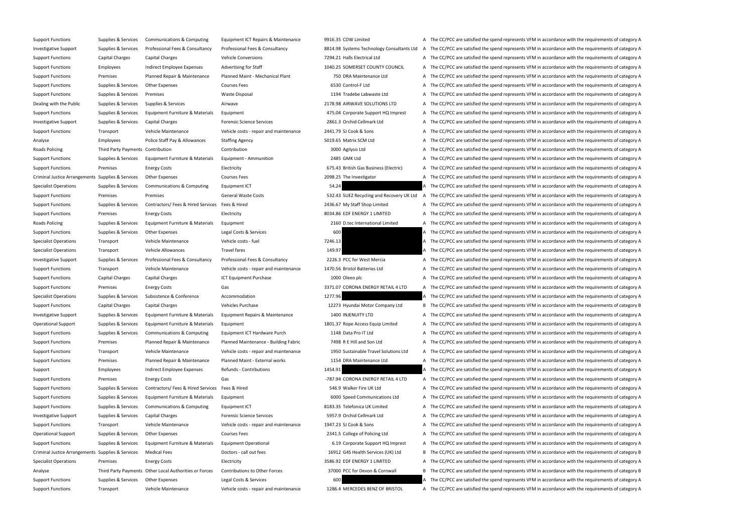Support Functions Supplies & Services Communications & Computing Equipment ICT Repairs & Maintenance 9916.35 CDW Limited A The CC/PCC are satisfied the spend represents VFM in accordance with the requirements of category A Investigative Support Supplies & Services Professional Fees & Consultancy Professional Fees & Consultancy Professional Fees & Consultancy and Bala.98 Systems Technology Consultants Ltd A The CC/PCC are satisfied the spend Support Functions Capital Charges Capital Charges Vehicle Conversions Vehicle Conversions 7294.21 Halls Electrical Ltd A The CC/PCC are satisfied the spend represents VFM in accordance with the requirements of category A Support Functions Employees Indirect Employee Expenses Advertising for Staff 1040.25 SOMERSET COUNTY COUNCIL A The CC/PCC are satisfied the spend represents VFM in accordance with the requirements of category A Support Functions Premises Planned Repair & Maintenance Planned Maint - Mechanical Plant 750 DRA Maintenance Ltd A The CC/PCC are satisfied the spend represents VFM in accordance with the requirements of category A Support Functions Supplies & Services Other Expenses Courses Fees 6530 Control-F Ltd A The CC/PCC are satisfied the spend represents VFM in accordance with the requirements of category A Support Functions Supplies & Services Premises Waste Disposal Waste Disposal 1194 Tradebe Labwaste Ltd A The CC/PCC are satisfied the spend represents VFM in accordance with the requirements of category A Dealing with the Public Supplies & Services Supplies & Services Airwave Airwave Airwave 2178.98 AIRWAVE SOLUTIONS LTD A The CC/PCC are satisfied the spend represents VFM in accordance with the requirements of category A Support Functions Supplies & Services Equipment Furniture & Materials Equipment 475.04 Corporate Support HQ Imprest A The CC/PCC are satisfied the spend represents VFM in accordance with the requirements of category A Investigative Support Supplies & Services Capital Charges Forensic Science Services 2861.3 Orchid Cellmark Ltd A The CC/PCC are satisfied the spend represents VFM in accordance with the requirements of category A Support Functions Transport Vehicle Maintenance Vehicle costs - repair and maintenance 2441.79 SJ Cook & Sons A The CC/PCC are satisfied the spend represents VFM in accordance with the requirements of category A Analyse Employees Police Staff Pay & Allowances Staffing Agency 5019.65 Matrix SCM Ltd A The CC/PCC are satisfied the spend represents VFM in accordance with the requirements of category A Roads Policing Third Party Payments Contribution Contribution Contribution Contribution Contribution Contribution 2000 Agilysis Ltd A The CC/PCC are satisfied the spend represents VFM in accordance with the requirements of Support Functions Supplies & Services Equipment Furniture & Materials Equipment - Ammunition 2485 GMK Ltd A The CC/PCC are satisfied the spend represents VFM in accordance with the requirements of category A Support Functions Premises Energy Costs Electricity Electricity and Electricity 675.43 British Gas Business (Electric) A The CC/PCC are satisfied the spend represents VFM in accordance with the requirements of category A Criminal Justice Arrangements Supplies & Services Other Expenses Courses Fees 2098.25 The Investigator A The CC/PCC are satisfied the spend represents VFM in accordance with the requirements of category A Specialist Operations Supplies & Services Communications & Computing Equipment ICT 54.24 54.24 A The CC/PCC are satisfied the spend represents VFM in accordance with the requirements of category A Support Functions Premises Premises Premises General Waste Costs General Waste Costs 532.43 SUEZ Recycling and Recovery UK Ltd A The CC/PCC are satisfied the spend represents VFM in accordance with the requirements of cate Support Functions Supplies & Services Contractors/ Fees & Hired Services Fees & Hired Music Fees & Hired 2436.67 My Staff Shop Limited A The CC/PCC are satisfied the spend represents VFM in accordance with the requirements Support Functions Premises Energy Costs Electricity Electricity and the Support Electricity and the CC/PCC are satisfied the spend represents VFM in accordance with the requirements of category A Roads Policing Supplies & Services Equipment Furniture & Materials Equipment 2160 D.tec International Limited A The CC/PCC are satisfied the spend represents VFM in accordance with the requirements of category A Support Functions Supplies & Services Other Expenses Legal Costs & Services Legal Costs & Services 600 A The CC/PCC are satisfied the spend represents VFM in accordance with the requirements of category A Specialist Operations Transport Vehicle Maintenance Vehicle costs - fuel 7246.13 7246.13 A The CC/PCC are satisfied the spend represents VFM in accordance with the requirements of category A Specialist Operations Transport Vehicle Allowances Travel fares Travel fares 149.97 A The CC/PCC are satisfied the spend represents VFM in accordance with the requirements of category A Investigative Support Supplies & Services Professional Fees & Consultancy Professional Fees & Consultancy Professional Fees & Consultancy Professional Fees & Consultancy 2226.3 PCC for West Mercia A The CC/PCC are satisfie Support Functions Transport Vehicle Maintenance Vehicle costs - repair and maintenance 1470.56 Bristol Batteries Ltd A The CC/PCC are satisfied the spend represents VFM in accordance with the requirements of category A Support Functions Capital Charges Capital Charges ICT Equipment Purchase ICO Checo plc A The CC/PCC are satisfied the spend represents VFM in accordance with the requirements of category A Support Functions Premises Energy Costs Gas Gas Same and the CONONA ENERGY RETAIL 4 LTD A The CC/PCC are satisfied the spend represents VFM in accordance with the requirements of category A Specialist Operations Supplies & Services Subsistence & Conference Accommodation Accommodation 1277.96 A The CC/PCC are satisfied the spend represents VFM in accordance with the requirements of category A Support Functions Capital Charges Capital Charges Vehicles Purchase Vehicles Purchase 12273 Hyundai Motor Company Ltd B The CC/PCC are satisfied the spend represents VFM in accordance with the requirements of category B Investigative Support Supplies & Services Equipment Furniture & Materials Equipment Repairs & Maintenance 1400 INJENUITY LTD A The CC/PCC are satisfied the spend represents VFM in accordance with the requirements of catego Operational Support Supplies & Services Equipment Furniture & Materials Equipment 1801.37 Rope Access Equip Limited A The CC/PCC are satisfied the spend represents VFM in accordance with the requirements of category A Support Functions Supplies & Services Communications & Computing Equipment ICT Hardware Purch 1148 Data Pro IT Ltd A The CC/PCC are satisfied the spend represents VFM in accordance with the requirements of category A Support Functions Premises Planned Repair & Maintenance Planned Maintenance - Building Fabric 7498 R E Hill and Son Ltd A The CC/PCC are satisfied the spend represents VFM in accordance with the requirements of category A Support Functions Transport Transport Wehicle Maintenance Vehicle costs - repair and maintenance 1950 Sustainable Travel Solutions Ltd A The CC/PCC are satisfied the spend represents VFM in accordance with the requirements Support Functions Premises Planned Repair & Maintenance Planned Maint - External works 1154 DRA Maintenance Ltd A The CC/PCC are satisfied the spend represents VFM in accordance with the requirements of category A Support Employees Indirect Employee Expenses Refunds - Contributions 1454.91 A The CC/PCC are satisfied the spend represents VFM in accordance with the requirements of category A Support Functions Premises Energy Costs Gas Gas Gas Functions and the CC/PCC are satisfied the spend represents VFM in accordance with the requirements of category A Support Functions Supplies & Services Contractors/ Fees & Hired Services Fees & Hired Services Fees & Hired 546.9 Walker Fire UK Ltd A The CC/PCC are satisfied the spend represents VFM in accordance with the requirements o Support Functions Supplies & Services Equipment Furniture & Materials Equipment 6000 Speed Communications Ltd A The CC/PCC are satisfied the spend represents VFM in accordance with the requirements of category A Support Functions Supplies & Services Communications & Computing Equipment ICT 8183.35 Telefonica UK Limited A The CC/PCC are satisfied the spend represents VFM in accordance with the requirements of category A Investigative Support Supplies & Services Capital Charges Forensic Science Services Forensic Science Services 5957.9 Orchid Cellmark Ltd A The CC/PCC are satisfied the spend represents VFM in accordance with the requiremen Support Functions Transport Vehicle Maintenance Vehicle costs - repair and maintenance 1947.23 SJ Cook & Sons A The CC/PCC are satisfied the spend represents VFM in accordance with the requirements of category A Operational Support Supplies & Services Other Expenses Courses Fees Courses Fees 2341.5 College of Policing Ltd A The CC/PCC are satisfied the spend represents VFM in accordance with the requirements of category A Support Functions Supplies & Services Equipment Furniture & Materials Equipment Operational 6.19 Corporate Support HQ Imprest A The CC/PCC are satisfied the spend represents VFM in accordance with the requirements of categ Criminal Justice Arrangements Supplies & Services Medical Fees Doctors - call out fees 16912 G4S Health Services (UK) Ltd B The CC/PCC are satisfied the spend represents VFM in accordance with the requirements of category Specialist Operations Premises Energy Costs Electricity Electricity and the Spend 2586.92 EDF ENERGY 1 LIMITED A The CC/PCC are satisfied the spend represents VFM in accordance with the requirements of category A Analyse Third Party Payments Other Local Authorities or Forces Contributions to Other Forces 2000 PCC for Devon & Connwall B The CC/PCC are satisfied the spend represents VFM in accordance with the requirements of category Support Functions Supplies & Services Other Expenses Legal Costs & Services Legal Costs & Services 600 A The CC/PCC are satisfied the spend represents VFM in accordance with the requirements of category A Support Functions Transport Vehicle Maintenance Vehicle costs - repair and maintenance 1286.4 MERCEDES BENZ OF BRISTOL A The CC/PCC are satisfied the spend represents VFM in accordance with the requirements of category A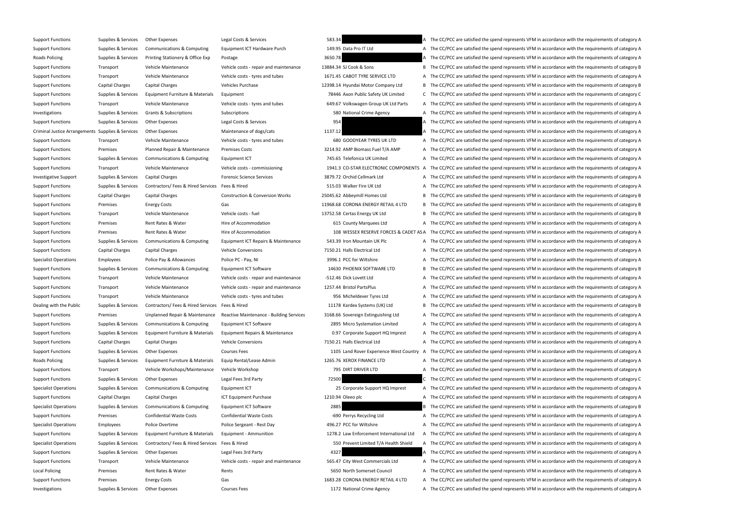Support Functions Supplies & Services Other Expenses Legal Costs & Services 583.34 A The CC/PCC are satisfied the spend represents VFM in accordance with the requirements of category A Support Functions Supplies & Services Communications & Computing Equipment ICT Hardware Purch 149.95 Data Pro IT Ltd A The CC/PCC are satisfied the spend represents VFM in accordance with the requirements of category A Roads Policing Supplies & Services Printing Stationery & Office Exp Postage Printing Stationery & Office Exp Postage 2650.78 3650.78 A The CC/PCC are satisfied the spend represents VFM in accordance with the requirements o Support Functions Transport Vehicle Maintenance Vehicle costs - repair and maintenance 13884.34 SJ Cook & Sons B The CC/PCC are satisfied the spend represents VFM in accordance with the requirements of category B Support Functions Transport Vehicle Maintenance Vehicle costs - tyres and tubes 1671.45 CABOT TYRE SERVICE LTD A The CC/PCC are satisfied the spend represents VFM in accordance with the requirements of category A Support Functions Capital Charges Capital Charges Vehicles Purchase Vehicles Purchase 12398.14 Hyundai Motor Company Ltd B The CC/PCC are satisfied the spend represents VFM in accordance with the requirements of category B Support Functions Supplies & Services Equipment Furniture & Materials Equipment 78446 Axon Public Safety UK Limited C The CC/PCC are satisfied the spend represents VFM in accordance with the requirements of category C Support Functions Transport Vehicle Maintenance Vehicle costs - tyres and tubes 649.67 Volkswagen Group UK Ltd Parts A The CC/PCC are satisfied the spend represents VFM in accordance with the requirements of category A Investigations Supplies & Services Grants & Subscriptions Subscriptions Subscriptions Subscriptions Subscriptions Subscriptions Subscriptions Subscriptions Subscriptions Subscriptions Subscriptions Subscriptions Subscripti Support Functions Supplies & Services Other Expenses Legal Costs & Services 2013 A The CC/PCC are satisfied the spend represents VFM in accordance with the requirements of category A Criminal Justice Arrangements Supplies & Services Other Expenses Maintenance of dogs/cats Maintenance of dogs/cats 1137.12 A The CC/PCC are satisfied the spend represents VFM in accordance with the requirements of category Support Functions Transport Vehicle Maintenance Vehicle costs - tyres and tubes 680 GOODYEAR TYRES UK LTD A The CC/PCC are satisfied the spend represents VFM in accordance with the requirements of category A Support Functions Premises Planned Repair & Maintenance Premises Costs 3214.92 AMP Biomass Fuel T/A AMP A The CC/PCC are satisfied the spend represents VFM in accordance with the requirements of category A Support Functions Supplies & Services Communications & Computing Equipment ICT 745.65 Telefonica UK Limited A The CC/PCC are satisfied the spend represents VFM in accordance with the requirements of category A Support Functions Transport Vehicle Maintenance Vehicle costs - commissioning 1941.3 CO-STAR ELECTRONIC COMPONENTS A The CC/PCC are satisfied the spend represents VFM in accordance with the requirements of category A Investigative Support Supplies & Services Capital Charges Forensic Science Services 3879.72 Orchid Cellmark Ltd A The CC/PCC are satisfied the spend represents VFM in accordance with the requirements of category A Support Functions Supplies & Services Contractors/ Fees & Hired Services Fees & Hired Services Fees & Hired Services Fees & Hired Services Fees & Hired Services Fees & Hired Services Fees & Hired Services Fees & Hired Serv Support Functions Capital Charges Capital Charges Construction & Conversion Works 25045.62 Abbeymill Homes Ltd B The CC/PCC are satisfied the spend represents VFM in accordance with the requirements of category B Support Functions Premises Energy Costs Gas Gas Gas 11968.68 CORONA ENERGY RETAIL 4 LTD B The CC/PCC are satisfied the spend represents VFM in accordance with the requirements of category B Support Functions Transport Vehicle Maintenance Vehicle costs - fuel 13752.58 Certas Energy UK Ltd B The CC/PCC are satisfied the spend represents VFM in accordance with the requirements of category B Support Functions Premises Rent Rates & Water Hire of Accommodation Hire of Accommodation 615 County Marquees Ltd A The CC/PCC are satisfied the spend represents VFM in accordance with the requirements of category A Support Functions Premises Rent Rates & Water Hire of Accommodation Hire of Accommodation 108 WESSEX RESERVE FORCES & CADET AS A The CC/PCC are satisfied the spend represents VFM in accordance with the requirements of cate Support Functions Supplies & Services Communications & Computing Equipment ICT Repairs & Maintenance 543.39 Iron Mountain UK Plc A The CC/PCC are satisfied the spend represents VFM in accordance with the requirements of ca Support Functions Capital Charges Capital Charges Vehicle Conversions Vehicle Conversions 7150.21 Halls Electrical Ltd A The CC/PCC are satisfied the spend represents VFM in accordance with the requirements of category A Specialist Operations Employees Police Pay & Allowances Police PC - Pay, NI 3996.1 PCC for Wiltshire A The CC/PCC are satisfied the spend represents VFM in accordance with the requirements of category A Support Functions Supplies & Services Communications & Computing Equipment ICT Software 14630 PHOENIX SOFTWARE LTD B The CC/PCC are satisfied the spend represents VFM in accordance with the requirements of category B Support Functions Transport Vehicle Maintenance Vehicle costs - repair and maintenance -512.46 Dick Lovett Ltd A The CC/PCC are satisfied the spend represents VFM in accordance with the requirements of category A Support Functions Transport Vehicle Maintenance Vehicle costs - repair and maintenance 1257.44 Bristol PartsPlus A The CC/PCC are satisfied the spend represents VFM in accordance with the requirements of category A Support Functions Transport Vehicle Maintenance Vehicle costs - tyres and tubes 956 Micheldever Tyres Ltd A The CC/PCC are satisfied the spend represents VFM in accordance with the requirements of category A Dealing with the Public Supplies & Services Contractors/ Fees & Hired Services Fees & Hired 11178 Kardex Systems (UK) Ltd B The CC/PCC are satisfied the spend represents VFM in accordance with the requirements of category Support Functions Premises Dipplanned Repair & Maintenance Reactive Maintenance - Building Services 3168.66 Sovereign Extinguishing Ltd A The CC/PCC are satisfied the spend represents VFM in accordance with the requirement Support Functions Supplies & Services Communications & Computing Equipment ICT Software 2895 Micro Systemation Limited A The CC/PCC are satisfied the spend represents VFM in accordance with the requirements of category A Support Functions Supplies & Services Equipment Furniture & Materials Equipment Repairs & Maintenance 0.97 Corporate Support HQ Imprest A The CC/PCC are satisfied the spend represents VFM in accordance with the requirement Support Functions Capital Charges Capital Charges Vehicle Conversions Vehicle Conversions 7150.21 Halls Electrical Ltd A The CC/PCC are satisfied the spend represents VFM in accordance with the requirements of category A Support Functions Supplies & Services Other Expenses Courses Fees Courses Fees 1105 Land Rover Experience West Country A The CC/PCC are satisfied the spend represents VFM in accordance with the requirements of category A Roads Policing Supplies & Services Equipment Furniture & Materials Equip Rental/Lease Admin 1265.76 XEROX FINANCE LTD A The CC/PCC are satisfied the spend represents VFM in accordance with the requirements of category A Support Functions Transport Vehicle Workshops/Maintenance Vehicle Workshop 795 DIRT DRIVER LTD A The CC/PCC are satisfied the spend represents VFM in accordance with the requirements of category A Support Functions Supplies & Services Other Expenses Legal Fees 3rd Party 72500 72500 The CC/PCC are satisfied the spend represents VFM in accordance with the requirements of category C Specialist Operations Supplies & Services Communications & Computing Equipment ICT 25 Corporate Support HQ Imprest A The CC/PCC are satisfied the spend represents VFM in accordance with the requirements of category A Support Functions Capital Charges Capital Charges ICT Equipment Purchase I210.94 Oleeo plc A The CC/PCC are satisfied the spend represents VFM in accordance with the requirements of category A Specialist Operations Supplies & Services Communications & Computing Equipment ICT Software 2885 2885 B The CC/PCC are satisfied the spend represents VFM in accordance with the requirements of category B Support Functions Premises Confidential Waste Costs Confidential Waste Costs Confidential Waste Costs Confidential Waste Costs Confidential Waste Costs -690 Perrys Recycling Ltd A The CC/PCC are satisfied the spend represe Specialist Operations Employees Police Overtime Police Sergeant - Rest Day 496.27 PCC for Wiltshire A The CC/PCC are satisfied the spend represents VFM in accordance with the requirements of category A Support Functions Supplies & Services Equipment Furniture & Materials Equipment - Ammunition 1278.2 Law Enforcement International Ltd A The CC/PCC are satisfied the spend represents VFM in accordance with the requirements Specialist Operations Supplies & Services Contractors/ Fees & Hired Services Fees & Hired Services Fees & Hired Services Fees & Hired Services Fees & Hired Services Fees & Hired Services Fees & Hired Services Services Fees Support Functions Supplies & Services Other Expenses Legal Fees 3rd Party 4327 4327 A The CC/PCC are satisfied the spend represents VFM in accordance with the requirements of category A Support Functions Transport Vehicle Maintenance Vehicle costs - repair and maintenance 565.47 City West Commercials Ltd A The CC/PCC are satisfied the spend represents VFM in accordance with the requirements of category A Local Policing Premises Rent Rates & Water Rents Rents Rents Sesson North Somerset Council A The CC/PCC are satisfied the spend represents VFM in accordance with the requirements of category A Support Functions Premises Energy Costs Gas Gas Gas 1683.28 CORONA ENERGY RETAIL 4 LTD A The CC/PCC are satisfied the spend represents VFM in accordance with the requirements of category A Investigations Supplies & Services Other Expenses Courses Fees Courses Fees 1172 National Crime Agency A The CC/PCC are satisfied the spend represents VFM in accordance with the requirements of category A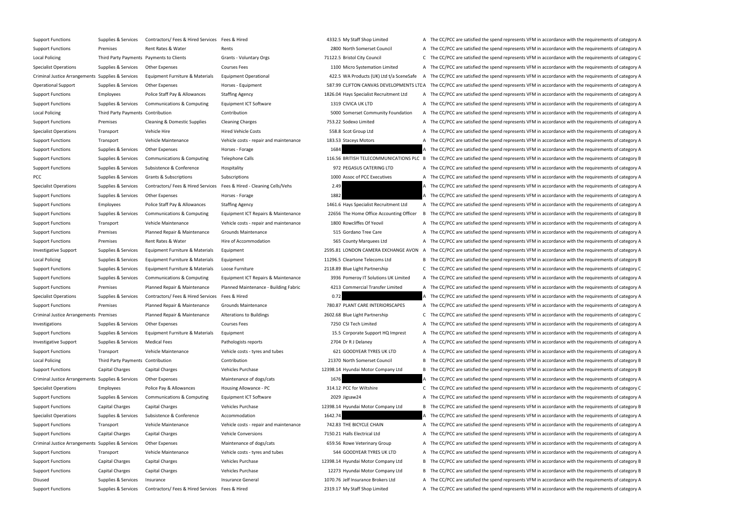Support Functions Supplies & Services Contractors/ Fees & Hired Services Fees & Hired 4332.5 My Staff Shop Limited A The CC/PCC are satisfied the spend represents VFM in accordance with the requirements of category A Support Functions Premises Rent Rates & Water Rents Rents Rents Rents 2800 North Somerset Council A The CC/PCC are satisfied the spend represents VFM in accordance with the requirements of category A Local Policing Third Party Payments Payments to Clients Grants - Voluntary Orgs 71122.5 Bristol City Council C The CC/PCC are satisfied the spend represents VFM in accordance with the requirements of category C Specialist Operations Supplies & Services Other Expenses Courses Fees Courses Fees 1100 Micro Systemation Limited A The CC/PCC are satisfied the spend represents VFM in accordance with the requirements of category A Criminal Justice Arrangements Supplies & Services Equipment Furniture & Materials Equipment Operational 422.5 WA Products (UK) Ltd t/a SceneSafe A The CC/PCC are satisfied the spend represents VFM in accordance with the re Operational Support Supplies & Services Other Expenses Horses - Equipment Horses - Equipment 587.99 CLIFTON CANVAS DEVELOPMENTS LTLA The CC/PCC are satisfied the spend represents VFM in accordance with the requirements of Support Functions Employees Police Staff Pay & Allowances Staffing Agency 1826.04 Hays Specialist Recruitment Ltd A The CC/PCC are satisfied the spend represents VFM in accordance with the requirements of category A Support Functions Supplies & Services Communications & Computing Equipment ICT Software 1319 CIVICA UK LTD A The CC/PCC are satisfied the spend represents VFM in accordance with the requirements of category A Local Policing Third Party Payments Contribution Contribution Contribution Contribution Contribution Contribution Contribution Contribution a S000 Somerset Community Foundation A The CC/PCC are satisfied the spend represen Support Functions Premises Cleaning & Domestic Supplies Cleaning Charges 753.22 Sodexo Limited A The CC/PCC are satisfied the spend represents VFM in accordance with the requirements of category A Specialist Operations Transport Vehicle Hire Specialist Operations Hired Vehicle Costs Hired Vehicle Costs 558.8 Scot Group Ltd A The CC/PCC are satisfied the spend represents VFM in accordance with the requirements of cat Support Functions Transport Vehicle Maintenance Vehicle costs - repair and maintenance 183.53 Staceys Motors A The CC/PCC are satisfied the spend represents VFM in accordance with the requirements of category A Support Functions Supplies & Services Other Expenses Horses Forage Horses Forage 1684 A The CC/PCC are satisfied the spend represents VFM in accordance with the requirements of category A Support Functions Supplies & Services Communications & Computing Telephone Calls 116.56 BRITISH TELECOMMUNICATIONS PLC B The CC/PCC are satisfied the spend represents VFM in accordance with the requirements of category B Support Functions Supplies & Services Subsistence & Conference Hospitality Hospitality external and the CC/PCC are satisfied the spend represents VFM in accordance with the requirements of category A PCC Subscriptions Subscriptions Subscriptions Subscriptions Subscriptions Subscriptions Subscriptions 1000 Assoc of PCC Executives A The CC/PCC are satisfied the spend represents VFM in accordance with the requirements of Specialist Operations Supplies & Services Contractors/ Fees & Hired Services Fees & Hired Services Fees & Hired Services Fees & Hired - Cleaning Cells/Vehs 2.49 A The CC/PCC are satisfied the spend represents VFM in accord Support Functions Supplies & Services Other Expenses Horses Forage Horses Forage 1882 1882 A The CC/PCC are satisfied the spend represents VFM in accordance with the requirements of category A Support Functions Employees Police Staff Pay & Allowances Staffing Agency 1461.6 Hays Specialist Recruitment Ltd A The CC/PCC are satisfied the spend represents VFM in accordance with the requirements of category A Support Functions Supplies & Services Communications & Computing Equipment ICT Repairs & Maintenance 22656 The Home Office Accounting Officer B The CC/PCC are satisfied the spend represents VFM in accordance with the requi Support Functions Transport Vehicle Maintenance Vehicle costs - repair and maintenance 1800 Rowcliffes Of Yeovil A The CC/PCC are satisfied the spend represents VFM in accordance with the requirements of category A Support Functions Premises Planned Repair & Maintenance Grounds Maintenance Structure and the Care A The CC/PCC are satisfied the spend represents VFM in accordance with the requirements of category A Support Functions Premises Rent Rates & Water Hire of Accommodation Hire of Accommodation 565 County Marquees Ltd A The CC/PCC are satisfied the spend represents VFM in accordance with the requirements of category A Investigative Support Supplies & Services Equipment Furniture & Materials Equipment 2595.81 LONDON CAMERA EXCHANGE AVON A The CC/PCC are satisfied the spend represents VFM in accordance with the requirements of category A Local Policing Supplies & Services Equipment Furniture & Materials Equipment 11296.5 Cleartone Telecoms Ltd B The CC/PCC are satisfied the spend represents VFM in accordance with the requirements of category B Support Functions Supplies & Services Equipment Furniture & Materials Loose Furniture 2001 2118.89 Blue Light Partnership C The CC/PCC are satisfied the spend represents VFM in accordance with the requirements of category Support Functions Supplies & Services Communications & Computing Equipment ICT Repairs & Maintenance 3936 Pomeroy IT Solutions UK Limited A The CC/PCC are satisfied the spend represents VFM in accordance with the requireme Support Functions Premises Planned Repair & Maintenance Planned Maintenance - Building Fabric 4213 Commercial Transfer Limited A The CC/PCC are satisfied the spend represents VFM in accordance with the requirements of cate Specialist Operations Supplies & Services Contractors/ Fees & Hired Services Fees & Hired Services Fees & Hired 2.72 A The CC/PCC are satisfied the spend represents VFM in accordance with the requirements of category A Support Functions Premises Planned Repair & Maintenance Grounds Maintenance 780.87 PLANT CARE INTERIORSCAPES A The CC/PCC are satisfied the spend represents VFM in accordance with the requirements of category A Criminal Justice Arrangements Premises 2602 Planned Repair & Maintenance Alterations to Buildings 2602.68 Blue Light Partnership C The CC/PCC are satisfied the spend represents VFM in accordance with the requirements of ca Investigations Supplies & Services Other Expenses Courses Fees Courses Fees 7250 CSI Tech Limited A The CC/PCC are satisfied the spend represents VFM in accordance with the requirements of category A Support Functions Supplies & Services Equipment Furniture & Materials Equipment 15.5 Corporate Support HQ Imprest A The CC/PCC are satisfied the spend represents VFM in accordance with the requirements of category A Investigative Support Supplies & Services Medical Fees Pathologists reports Pathologists reports 2704 Dr R J Delaney A The CC/PCC are satisfied the spend represents VFM in accordance with the requirements of category A Support Functions Transport Vehicle Maintenance Vehicle costs - tyres and tubes 621 GOODYEAR TYRES UK LTD A The CC/PCC are satisfied the spend represents VFM in accordance with the requirements of category A Local Policing Third Party Payments Contribution Contribution Contribution Contribution Contribution 21370 North Somerset Council B The CC/PCC are satisfied the spend represents VFM in accordance with the requirements of c Support Functions Capital Charges Capital Charges Vehicles Purchase Vehicles Purchase 12398.14 Hyundai Motor Company Ltd B The CC/PCC are satisfied the spend represents VFM in accordance with the requirements of category B Criminal Justice Arrangements Supplies & Services Other Expenses Maintenance of dogs/cats Maintenance of dogs/cats 1676 A The CC/PCC are satisfied the spend represents VFM in accordance with the requirements of category A Specialist Operations Employees Police Pay & Allowances Housing Allowance - PC 314.12 PCC for Wiltshire C The CC/PCC are satisfied the spend represents VFM in accordance with the requirements of category C Support Functions Supplies & Services Communications & Computing Equipment ICT Software 2029 Jigsaw24 A The CC/PCC are satisfied the spend represents VFM in accordance with the requirements of category A Support Functions Capital Charges Capital Charges Vehicles Purchase Vehicles Purchase 12398.14 Hyundai Motor Company Ltd B The CC/PCC are satisfied the spend represents VFM in accordance with the requirements of category B Specialist Operations Supplies & Services Subsistence & Conference Accommodation 1642.74 A The CC/PCC are satisfied the spend represents VFM in accordance with the requirements of category A Support Functions Transport Vehicle Maintenance Vehicle costs - repair and maintenance 742.83 THE BICYCLE CHAIN A The CC/PCC are satisfied the spend represents VFM in accordance with the requirements of category A Support Functions Capital Charges Capital Charges Vehicle Conversions Vehicle Conversions 7150.21 Halls Electrical Ltd A The CC/PCC are satisfied the spend represents VFM in accordance with the requirements of category A Criminal Justice Arrangements Supplies & Services Other Expenses Maintenance of dogs/cats Maintenance of dogs/cats 659.56 Rowe Veterinary Group A The CC/PCC are satisfied the spend represents VFM in accordance with the req Support Functions Transport Vehicle Maintenance Vehicle costs - tyres and tubes 544 GOODYEAR TYRES UK LTD A The CC/PCC are satisfied the spend represents VFM in accordance with the requirements of category A Support Functions Capital Charges Capital Charges Vehicles Purchase Vehicles Purchase 12398.14 Hyundai Motor Company Ltd B The CC/PCC are satisfied the spend represents VFM in accordance with the requirements of category B Support Functions Capital Charges Capital Charges Vehicles Purchase Vehicles Purchase 12273 Hyundai Motor Company Ltd B The CC/PCC are satisfied the spend represents VFM in accordance with the requirements of category B Disused Supplies & Services Insurance Supprements of category A Insurance General 1070.76 Jelf Insurance Brokers Ltd A The CC/PCC are satisfied the spend represents VFM in accordance with the requirements of category A Support Functions Supplies & Services Contractors/ Fees & Hired Services Fees & Hired Musical 2319.17 My Staff Shop Limited A The CC/PCC are satisfied the spend represents VFM in accordance with the requirements of categor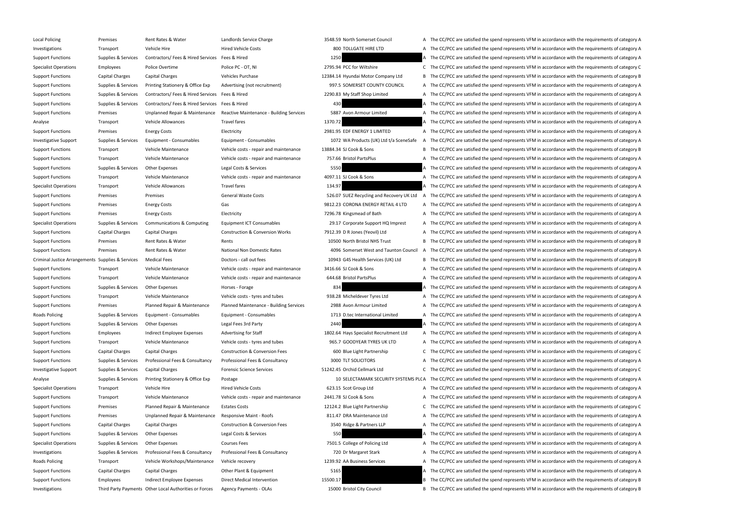| Local Policing                                    | Premises            | Rent Rates & Water                                     | Landlords Service C         |
|---------------------------------------------------|---------------------|--------------------------------------------------------|-----------------------------|
| Investigations                                    | Transport           | Vehicle Hire                                           | <b>Hired Vehicle Costs</b>  |
| <b>Support Functions</b>                          | Supplies & Services | Contractors/ Fees & Hired Services                     | Fees & Hired                |
| <b>Specialist Operations</b>                      | <b>Employees</b>    | Police Overtime                                        | Police PC - OT, NI          |
| <b>Support Functions</b>                          | Capital Charges     | Capital Charges                                        | Vehicles Purchase           |
| <b>Support Functions</b>                          | Supplies & Services | Printing Stationery & Office Exp                       | Advertising (not red        |
| <b>Support Functions</b>                          | Supplies & Services | Contractors/ Fees & Hired Services                     | Fees & Hired                |
| <b>Support Functions</b>                          | Supplies & Services | Contractors/ Fees & Hired Services                     | Fees & Hired                |
| <b>Support Functions</b>                          | Premises            | Unplanned Repair & Maintenance                         | <b>Reactive Maintenar</b>   |
| Analyse                                           | Transport           | Vehicle Allowances                                     | <b>Travel fares</b>         |
| <b>Support Functions</b>                          | Premises            | <b>Energy Costs</b>                                    | Electricity                 |
| <b>Investigative Support</b>                      | Supplies & Services | Equipment - Consumables                                | Equipment - Consu           |
| <b>Support Functions</b>                          | Transport           | Vehicle Maintenance                                    | Vehicle costs - repa        |
| <b>Support Functions</b>                          | Transport           | Vehicle Maintenance                                    | Vehicle costs - repa        |
| <b>Support Functions</b>                          | Supplies & Services | Other Expenses                                         | Legal Costs & Servio        |
| <b>Support Functions</b>                          | Transport           | Vehicle Maintenance                                    | Vehicle costs - repa        |
| <b>Specialist Operations</b>                      | Transport           | <b>Vehicle Allowances</b>                              | <b>Travel fares</b>         |
| <b>Support Functions</b>                          | Premises            | Premises                                               | General Waste Cost          |
| <b>Support Functions</b>                          | Premises            | <b>Energy Costs</b>                                    | Gas                         |
| <b>Support Functions</b>                          | Premises            | <b>Energy Costs</b>                                    | Electricity                 |
| <b>Specialist Operations</b>                      | Supplies & Services | Communications & Computing                             | <b>Equipment ICT Con</b>    |
| <b>Support Functions</b>                          | Capital Charges     | Capital Charges                                        | Construction & Con          |
| <b>Support Functions</b>                          | Premises            | Rent Rates & Water                                     | Rents                       |
| <b>Support Functions</b>                          | Premises            | Rent Rates & Water                                     | <b>National Non Dome</b>    |
| Criminal Justice Arrangements Supplies & Services |                     | <b>Medical Fees</b>                                    | Doctors - call out fe       |
| <b>Support Functions</b>                          | Transport           | Vehicle Maintenance                                    | Vehicle costs - repa        |
| <b>Support Functions</b>                          | Transport           | Vehicle Maintenance                                    | Vehicle costs - repa        |
| <b>Support Functions</b>                          | Supplies & Services | <b>Other Expenses</b>                                  | Horses - Forage             |
| <b>Support Functions</b>                          | Transport           | Vehicle Maintenance                                    | Vehicle costs - tyres       |
| <b>Support Functions</b>                          | Premises            | Planned Repair & Maintenance                           | Planned Maintenan           |
| <b>Roads Policing</b>                             | Supplies & Services | Equipment - Consumables                                | Equipment - Consui          |
| <b>Support Functions</b>                          | Supplies & Services | <b>Other Expenses</b>                                  | Legal Fees 3rd Party        |
| <b>Support Functions</b>                          | <b>Employees</b>    | Indirect Employee Expenses                             | <b>Advertising for Staf</b> |
| <b>Support Functions</b>                          | Transport           | Vehicle Maintenance                                    | Vehicle costs - tyres       |
| <b>Support Functions</b>                          | Capital Charges     | Capital Charges                                        | Construction & Con          |
| <b>Support Functions</b>                          | Supplies & Services | Professional Fees & Consultancy                        | Professional Fees &         |
| <b>Investigative Support</b>                      | Supplies & Services | Capital Charges                                        | Forensic Science Se         |
| Analyse                                           | Supplies & Services | Printing Stationery & Office Exp                       | Postage                     |
| <b>Specialist Operations</b>                      | Transport           | Vehicle Hire                                           | <b>Hired Vehicle Costs</b>  |
| <b>Support Functions</b>                          | Transport           | Vehicle Maintenance                                    | Vehicle costs - repa        |
| <b>Support Functions</b>                          | Premises            | Planned Repair & Maintenance                           | <b>Estates Costs</b>        |
| <b>Support Functions</b>                          | Premises            | Unplanned Repair & Maintenance                         | Responsive Maint -          |
| <b>Support Functions</b>                          | Capital Charges     | Capital Charges                                        | Construction & Con          |
| <b>Support Functions</b>                          | Supplies & Services | Other Expenses                                         | Legal Costs & Servio        |
| <b>Specialist Operations</b>                      | Supplies & Services | Other Expenses                                         | <b>Courses Fees</b>         |
| Investigations                                    | Supplies & Services | Professional Fees & Consultancy                        | Professional Fees &         |
| <b>Roads Policing</b>                             | Transport           | Vehicle Workshops/Maintenance                          | Vehicle recovery            |
| <b>Support Functions</b>                          | Capital Charges     | Capital Charges                                        | Other Plant & Equip         |
| <b>Support Functions</b>                          | <b>Employees</b>    | Indirect Employee Expenses                             | Direct Medical Inter        |
| Investigations                                    |                     | Third Party Payments Other Local Authorities or Forces | <b>Agency Payments -</b>    |
|                                                   |                     |                                                        |                             |

Local Policing Premises Rent Rates & Water Landlords Service Charge 3548.59 North Somerset Council A The CC/PCC are satisfied the spend represents VFM in accordance with the requirements of category A 800 TOLLGATE HIRE LTD **A** The CC/PCC are satisfied the spend represents VFM in accordance with the requirements of category A 1250 A The CC/PCC are satisfied the spend represents VFM in accordance with the requirements of category A 2795.94 PCC for Wiltshire **C** The CC/PCC are satisfied the spend represents VFM in accordance with the requirements of category C 12384.14 Hyundai Motor Company Ltd B The CC/PCC are satisfied the spend represents VFM in accordance with the requirements of category B SPACE COUNTY COUNCIL A The CC/PCC are satisfied the spend represents VFM in accordance with the requirements of category A 2290.83 My Staff Shop Limited **A** The CC/PCC are satisfied the spend represents VFM in accordance with the requirements of category A A The CC/PCC are satisfied the spend represents VFM in accordance with the requirements of category A nce - Building Services 5887 Avon Armour Limited Archarge And The CC/PCC are satisfied the spend represents VFM in accordance with the requirements of category A 1370.72 **Analyse Transport Allace Allace Allowances Travel fares 1370.72** A The CC/PCC are satisfied the spend represents VFM in accordance with the requirements of category A 2981.95 EDF ENERGY 1 LIMITED A The CC/PCC are satisfied the spend represents VFM in accordance with the requirements of category A mables matches are 1072 WA Products (UK) Ltd t/a SceneSafe A The CC/PCC are satisfied the spend represents VFM in accordance with the requirements of category A air and maintenance 13884.34 SJ Cook & Sons B The CC/PCC are satisfied the spend represents VFM in accordance with the requirements of category B air and maintenance 757.66 Bristol PartsPlus A The CC/PCC are satisfied the spend represents VFM in accordance with the requirements of category A Cupper Costs A The CC/PCC are satisfied the spend represents VFM in accordance with the requirements of category A ir and maintenance 4097.11 SJ Cook & Sons A The CC/PCC are satisfied the spend represents VFM in accordance with the requirements of category A 134.97 **A** The CC/PCC are satisfied the spend represents VFM in accordance with the requirements of category A ts Costs Arecycling and Recovery UK Ltd A The CC/PCC are satisfied the spend represents VFM in accordance with the requirements of category A 9812.23 CORONA ENERGY RETAIL 4 LTD A The CC/PCC are satisfied the spend represents VFM in accordance with the requirements of category A 7296.78 Kingsmead of Bath A The CC/PCC are satisfied the spend represents VFM in accordance with the requirements of category A sumables 29.17 Corporate Support HQ Imprest A The CC/PCC are satisfied the spend represents VFM in accordance with the requirements of category A Inversion Works **Tunction Charges Constructs Charges** Charges Construction A The CC/PCC are satisfied the spend represents VFM in accordance with the requirements of category A 10500 North Bristol NHS Trust **B** The CC/PCC are satisfied the spend represents VFM in accordance with the requirements of category B estic Rates **Auction Premises Adder Anation** Council A The CC/PCC are satisfied the spend represents VFM in accordance with the requirements of category A Criminal Tustices Arrangements Supplies Arrangements Supplies Arrangements Controllers - call out fees 10943 G4S Health Services (UK) Ltd B The CC/PCC are satisfied the spend represents VFM in accordance with the requireme air and maintenance 3416.66 SJ Cook & Sons A The CC/PCC are satisfied the spend represents VFM in accordance with the requirements of category A air and maintenance 644.68 Bristol PartsPlus A The CC/PCC are satisfied the spend represents VFM in accordance with the requirements of category A 834 **A** The CC/PCC are satisfied the spend represents VFM in accordance with the requirements of category A s and tubes 338.28 Micheldever Tyres Ltd A The CC/PCC are satisfied the spend represents VFM in accordance with the requirements of category A nce - Building Services 2988 Avon Armour Limited A The CC/PCC are satisfied the spend represents VFM in accordance with the requirements of category A mables **Exercices 20 and Supplies 20 and Services Consument - Consument - Consument - Consument - Consument - Consument - Consument - Consument - Consument - Consument - Consument - Consuments of category A**  $\sim$  **A The CC/P** 2440 A The CC/PCC are satisfied the spend represents VFM in accordance with the requirements of category A 1802.64 Hays Specialist Recruitment Ltd A The CC/PCC are satisfied the spend represents VFM in accordance with the requirements of category A s and tubes 365.7 GOODYEAR TYRES UK LTD A The CC/PCC are satisfied the spend represents VFM in accordance with the requirements of category A Inversion Fees **Construction Blue Light Partnership** C The CC/PCC are satisfied the spend represents VFM in accordance with the requirements of category C Consultancy **Supplies A The CC/PCC** are satisfied the spend represents VFM in accordance with the requirements of category A The CC/PCC are satisfied the spend represents VFM in accordance with the requirements of category Investigative Support Support Support Supplies Capital Charges Forents Corp. C The CC/PCC are satisfied the spend represents VFM in accordance with the requirements of category C 10 SELECTAMARK SECURITY SYSTEMS PLCA The CC/PCC are satisfied the spend represents VFM in accordance with the requirements of category A 623.15 Scot Group Ltd **A** The CC/PCC are satisfied the spend represents VFM in accordance with the requirements of category A air and maintenance 2441.78 SJ Cook & Sons A The CC/PCC are satisfied the spend represents VFM in accordance with the requirements of category A 12124.2 Blue Light Partnership C The CC/PCC are satisfied the spend represents VFM in accordance with the requirements of category C Roofs **Eumplanned Repair A The CC/PCC** are satisfied the spend represents VFM in accordance with the requirements of category A version Fees **A Function Charges Capital Charges Capital Charges** Construction A The CC/PCC are satisfied the spend represents VFM in accordance with the requirements of category A Cupper Functions Supplies A Services A The CC/PCC are satisfied the spend represents VFM in accordance with the requirements of category A 7501.5 College of Policing Ltd **A** The CC/PCC are satisfied the spend represents VFM in accordance with the requirements of category A Investment Supplies A The CC/PCC are satisfied the spend represents VFM in accordance with the requirements of category A Consultancy A The CC/PCC are satisfied the spend represents VFM in accordance with the requirements 1239.92 AA Business Services **A The CC/PCC are satisfied the spend represents VFM** in accordance with the requirements of category A Support Functions Capital Charges Capital Charges Capital Charges Capital Charges A The CC/PCC are satisfied the spend represents VFM in accordance with the requirements of category A The CC/PCC are satisfied the spend represents VFM in accordance with the requirements of category B The CC/PCC are satisfied the spend represents VFM in accordance with the requirements of category B

OLAs 15000 Bristol City Council B The CC/PCC are satisfied the spend represents VFM in accordance with the requirements of category B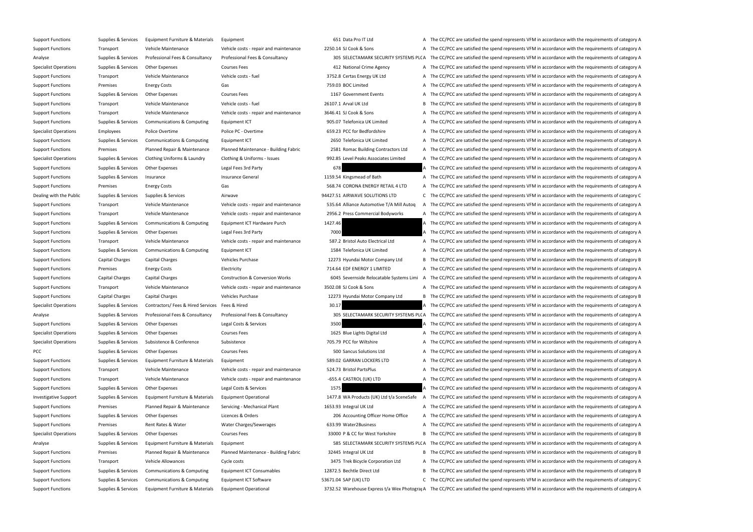Support Functions Supplies & Services Equipment Furniture & Materials Equipment 651 Data Pro IT Ltd A The CC/PCC are satisfied the spend represents VFM in accordance with the requirements of category A Support Functions Transport Vehicle Maintenance Vehicle costs - repair and maintenance 2250.14 SJ Cook & Sons A The CC/PCC are satisfied the spend represents VFM in accordance with the requirements of category A Analyse Supplies & Services Professional Fees & Consultancy Professional Fees & Consultancy Professional Fees & Consultancy Professional Fees & Consultancy 2005 SELECTAMARK SECURITY SYSTEMS PL(A The CC/PCC are satisfied th Specialist Operations Supplies & Services Other Expenses Courses Fees Courses Fees 412 National Crime Agency A The CC/PCC are satisfied the spend represents VFM in accordance with the requirements of category A Support Functions Transport Vehicle Maintenance Vehicle costs - fuel 3752.8 Certas Energy UK Ltd A The CC/PCC are satisfied the spend represents VFM in accordance with the requirements of category A Support Functions Premises Energy Costs Gas Gas Gas The CONTECT A The CC/PCC are satisfied the spend represents VFM in accordance with the requirements of category A Support Functions Supplies & Services Other Expenses Courses Fees Courses Fees 1167 Government Events A The CC/PCC are satisfied the spend represents VFM in accordance with the requirements of category A Support Functions Transport Vehicle Maintenance Vehicle costs - fuel 26107.1 Arval UK Ltd B The CC/PCC are satisfied the spend represents VFM in accordance with the requirements of category B Support Functions Transport Vehicle Maintenance Vehicle costs - repair and maintenance 3646.41 SJ Cook & Sons A The CC/PCC are satisfied the spend represents VFM in accordance with the requirements of category A Support Functions Supplies & Services Communications & Computing Equipment ICT 905.07 Telefonica UK Limited A The CC/PCC are satisfied the spend represents VFM in accordance with the requirements of category A Specialist Operations Employees Police Overtime Police PC - Overtime Police PC - Overtime 659.23 PCC for Bedfordshire A The CC/PCC are satisfied the spend represents VFM in accordance with the requirements of category A Support Functions Supplies & Services Communications & Computing Equipment ICT 2650 Telefonica UK Limited A The CC/PCC are satisfied the spend represents VFM in accordance with the requirements of category A Support Functions Premises Premises Planned Repair & Maintenance Planned Maintenance - Building Fabric 2581 Romac Building Contractors Ltd A The CC/PCC are satisfied the spend represents VFM in accordance with the requirem Specialist Operations Supplies & Services Clothing Uniforms & Laundry Clothing & Uniforms - Issues 992.85 Level Peaks Associates Limited A The CC/PCC are satisfied the spend represents VFM in accordance with the requiremen Support Functions Supplies & Services Other Expenses Legal Fees 3rd Party Legal Fees 3rd Party 678 A The CC/PCC are satisfied the spend represents VFM in accordance with the requirements of category A Support Functions Supplies & Services Insurance Services Insurance General Insurance General 1159.54 Kingsmead of Bath A The CC/PCC are satisfied the spend represents VFM in accordance with the requirements of category A Support Functions Premises Energy Costs Gas Gas Gas States and the CORONA ENERGY RETAIL 4 LTD A The CC/PCC are satisfied the spend represents VFM in accordance with the requirements of category A Dealing with the Public Supplies & Services Supplies & Services Airwave Airwave 94427.51 AIRWAVE SOLUTIONS LTD C The CC/PCC are satisfied the spend represents VFM in accordance with the requirements of category C Support Functions Transport Transport Vehicle Maintenance Vehicle costs - repair and maintenance 535.64 Alliance Automotive T/A Mill Autoq A The CC/PCC are satisfied the spend represents VFM in accordance with the requirem Support Functions Transport Vehicle Maintenance Vehicle costs - repair and maintenance 2956.2 Press Commercial Bodyworks A The CC/PCC are satisfied the spend represents VFM in accordance with the requirements of category A Support Functions Supplies & Services Communications & Computing Equipment ICT Hardware Purch 1427.46 A The CC/PCC are satisfied the spend represents VFM in accordance with the requirements of category A Support Functions Supplies & Services Other Expenses Legal Fees 3rd Party 7000 7000 A The CC/PCC are satisfied the spend represents VFM in accordance with the requirements of category A Support Functions Transport Vehicle Maintenance Vehicle costs - repair and maintenance 587.2 Bristol Auto Electrical Ltd A The CC/PCC are satisfied the spend represents VFM in accordance with the requirements of category A Support Functions Supplies & Services Communications & Computing Equipment ICT 1584 Telefonica UK Limited A The CC/PCC are satisfied the spend represents VFM in accordance with the requirements of category A Support Functions Capital Charges Capital Charges Vehicles Purchase Vehicles Purchase 12273 Hyundai Motor Company Ltd B The CC/PCC are satisfied the spend represents VFM in accordance with the requirements of category B Support Functions Premises Energy Costs Electricity Electricity and Electricity 714.64 EDF ENERGY 1 LIMITED A The CC/PCC are satisfied the spend represents VFM in accordance with the requirements of category A Support Functions Capital Charges Capital Charges Construction & Conversion Works 6045 Severnside Relocatable Systems Limi A The CC/PCC are satisfied the spend represents VFM in accordance with the requirements of category Support Functions Transport Vehicle Maintenance Vehicle costs - repair and maintenance 3502.08 SJ Cook & Sons A The CC/PCC are satisfied the spend represents VFM in accordance with the requirements of category A Support Functions Capital Charges Capital Charges Vehicles Purchase Vehicles Purchase 12273 Hyundai Motor Company Ltd B The CC/PCC are satisfied the spend represents VFM in accordance with the requirements of category B Specialist Operations Supplies & Services Contractors/ Fees & Hired Services Fees & Hired Services Fees & Hired 30.17 30.17 A The CC/PCC are satisfied the spend represents VFM in accordance with the requirements of categor Analyse Supplies & Services Professional Fees & Consultancy Professional Fees & Consultancy Professional Fees & Consultancy Professional Fees & Consultancy 305 SELECTAMARK SECURITY SYSTEMS PL(A The CC/PCC are satisfied the Support Functions Supplies & Services Other Expenses Legal Costs & Services 2500 3500 A The CC/PCC are satisfied the spend represents VFM in accordance with the requirements of category A Specialist Operations Supplies & Services Other Expenses Courses Fees Courses Fees 1625 Blue Lights Digital Ltd A The CC/PCC are satisfied the spend represents VFM in accordance with the requirements of category A Specialist Operations Supplies & Services Subsistence Subsistence Subsistence Subsistence Subsistence Subsistence 705.79 PCC for Wiltshire A The CC/PCC are satisfied the spend represents VFM in accordance with the requirem PCC Supplies & Services Other Expenses Courses Fees Courses Fees 500 Sancus Solutions Ltd A The CC/PCC are satisfied the spend represents VFM in accordance with the requirements of category A Support Functions Supplies & Services Equipment Furniture & Materials Equipment 589.02 GARRAN LOCKERS LTD A The CC/PCC are satisfied the spend represents VFM in accordance with the requirements of category A Support Functions Transport Vehicle Maintenance Vehicle costs - repair and maintenance 524.73 Bristol PartsPlus A The CC/PCC are satisfied the spend represents VFM in accordance with the requirements of category A Support Functions Transport Vehicle Maintenance Vehicle costs - repair and maintenance -655.4 CASTROL (UK) LTD A The CC/PCC are satisfied the spend represents VFM in accordance with the requirements of category A Support Functions Supplies & Services Other Expenses Legal Costs & Services 1575 1575 A The CC/PCC are satisfied the spend represents VFM in accordance with the requirements of category A Investigative Support Supplies & Services Equipment Furniture & Materials Equipment Operational 1477.8 WA Products (UK) Ltd t/a SceneSafe A The CC/PCC are satisfied the spend represents VFM in accordance with the requireme Support Functions Premises Planned Repair & Maintenance Servicing - Mechanical Plant 1653.93 Integral UK Ltd A The CC/PCC are satisfied the spend represents VFM in accordance with the requirements of category A Support Functions Supplies & Services Other Expenses Licences & Orders Licences & Orders 206 Accounting Officer Home Office A The CC/PCC are satisfied the spend represents VFM in accordance with the requirements of categor Support Functions Premises Rent Rates & Water Water Charges/Sewerages 633.99 Water2Business A The CC/PCC are satisfied the spend represents VFM in accordance with the requirements of category A Specialist Operations Supplies & Services Other Expenses Courses Fees Courses Fees 33000 P & CC for West Yorkshire B The CC/PCC are satisfied the spend represents VFM in accordance with the requirements of category B Analyse Supplies & Services Equipment Furniture & Materials Equipment Supplies Equipment 585 SELECTAMARK SECURITY SYSTEMS PLC A The CC/PCC are satisfied the spend represents VFM in accordance with the requirements of categ Support Functions Premises Planned Repair & Maintenance Planned Maintenance - Building Fabric 32445 Integral UK Ltd B The CC/PCC are satisfied the spend represents VFM in accordance with the requirements of category B Support Functions Transport Vehicle Allowances Cycle costs Cycle costs 3475 Trek Bicycle Corporation Ltd A The CC/PCC are satisfied the spend represents VFM in accordance with the requirements of category A Support Functions Supplies & Services Communications & Computing Equipment ICT Consumables 12872.5 Bechtle Direct Ltd B The CC/PCC are satisfied the spend represents VFM in accordance with the requirements of category B Support Functions Supplies & Services Communications & Computing Equipment ICT Software 53671.04 SAP (UK) LTD C The CC/PCC are satisfied the spend represents VFM in accordance with the requirements of category C Support Functions Supplies & Services Equipment Furniture & Materials Equipment Operational 3732.52 Warehouse Express t/a Wex Photogral A The CC/PCC are satisfied the spend represents VFM in accordance with the requirement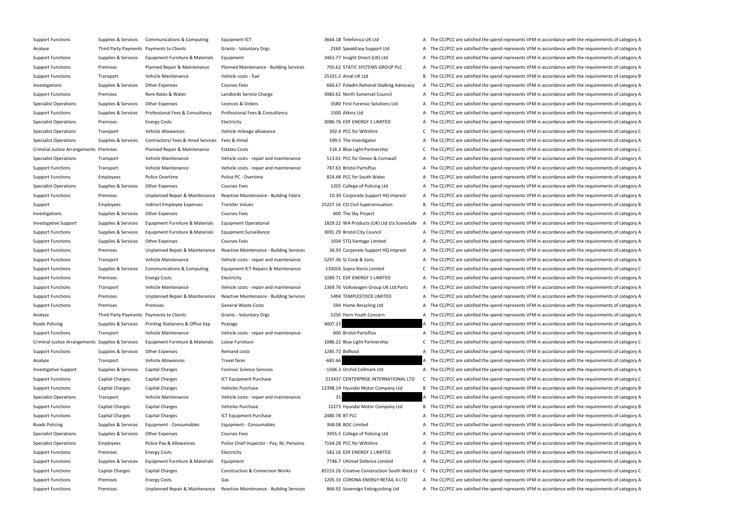| Support Functions                                 | Supplies & Services                      | Communications & Computing                           |  |
|---------------------------------------------------|------------------------------------------|------------------------------------------------------|--|
| Analyse                                           | Third Party Payments Payments to Clients |                                                      |  |
| <b>Support Functions</b>                          | Supplies & Services                      | Equipment Furniture & Materials                      |  |
| <b>Support Functions</b>                          | Premises                                 | Planned Repair & Maintenance                         |  |
| <b>Support Functions</b>                          | Transport                                | Vehicle Maintenance                                  |  |
| Investigations                                    | Supplies & Services                      | <b>Other Expenses</b>                                |  |
| <b>Support Functions</b>                          | Premises                                 | Rent Rates & Water                                   |  |
| <b>Specialist Operations</b>                      | Supplies & Services                      | <b>Other Expenses</b>                                |  |
| <b>Support Functions</b>                          | Supplies & Services                      | Professional Fees & Consultancy                      |  |
| <b>Specialist Operations</b>                      | Premises                                 | <b>Energy Costs</b>                                  |  |
| <b>Specialist Operations</b>                      | Transport                                | <b>Vehicle Allowances</b>                            |  |
| <b>Specialist Operations</b>                      | Supplies & Services                      | Contractors/ Fees & Hired Services                   |  |
| Criminal Justice Arrangements Premises            |                                          | Planned Repair & Maintenance                         |  |
| <b>Specialist Operations</b>                      | Transport                                | Vehicle Maintenance                                  |  |
| <b>Support Functions</b>                          | Transport                                | Vehicle Maintenance                                  |  |
| <b>Support Functions</b>                          | <b>Employees</b>                         | Police Overtime                                      |  |
| <b>Specialist Operations</b>                      | Supplies & Services                      | <b>Other Expenses</b>                                |  |
| <b>Support Functions</b>                          | Premises                                 | Unplanned Repair & Maintenance                       |  |
| Support                                           | <b>Employees</b>                         | Indirect Employee Expenses                           |  |
| Investigations                                    | Supplies & Services                      | <b>Other Expenses</b>                                |  |
| <b>Investigative Support</b>                      | Supplies & Services                      | Equipment Furniture & Materials                      |  |
| <b>Support Functions</b>                          | Supplies & Services                      | Equipment Furniture & Materials                      |  |
| <b>Support Functions</b>                          | Supplies & Services                      | <b>Other Expenses</b>                                |  |
| <b>Support Functions</b>                          | Premises                                 | Unplanned Repair & Maintenance                       |  |
| <b>Support Functions</b>                          | Transport                                | Vehicle Maintenance                                  |  |
| <b>Support Functions</b>                          | Supplies & Services                      | Communications & Computing                           |  |
| <b>Support Functions</b>                          | Premises                                 | <b>Energy Costs</b>                                  |  |
| <b>Support Functions</b>                          | Transport                                | Vehicle Maintenance                                  |  |
| <b>Support Functions</b>                          | Premises                                 | Unplanned Repair & Maintenance                       |  |
| <b>Support Functions</b>                          | Premises                                 | Premises                                             |  |
| Analyse                                           | Third Party Payments Payments to Clients |                                                      |  |
| Roads Policing                                    |                                          | Supplies & Services Printing Stationery & Office Exp |  |
| <b>Support Functions</b>                          | Transport                                | Vehicle Maintenance                                  |  |
| Criminal Justice Arrangements Supplies & Services |                                          | Equipment Furniture & Materials                      |  |
| <b>Support Functions</b>                          | Supplies & Services                      | <b>Other Expenses</b>                                |  |
| Analyse                                           | Transport                                | <b>Vehicle Allowances</b>                            |  |
| <b>Investigative Support</b>                      | Supplies & Services                      | Capital Charges                                      |  |
| <b>Support Functions</b>                          | Capital Charges                          | Capital Charges                                      |  |
| <b>Support Functions</b>                          | Capital Charges                          | Capital Charges                                      |  |
| <b>Specialist Operations</b>                      | Transport                                | Vehicle Maintenance                                  |  |
| <b>Support Functions</b>                          | Capital Charges                          | Capital Charges                                      |  |
| <b>Support Functions</b>                          | Capital Charges                          | Capital Charges                                      |  |
| <b>Roads Policing</b>                             | Supplies & Services                      | Equipment - Consumables                              |  |
| <b>Specialist Operations</b>                      | Supplies & Services                      | <b>Other Expenses</b>                                |  |
| <b>Specialist Operations</b>                      | <b>Employees</b>                         | Police Pay & Allowances                              |  |
| <b>Support Functions</b>                          | Premises                                 | <b>Energy Costs</b>                                  |  |
| <b>Support Functions</b>                          | Supplies & Services                      | Equipment Furniture & Materials                      |  |
| <b>Support Functions</b>                          | Capital Charges                          | Capital Charges                                      |  |
| <b>Support Functions</b>                          | Premises                                 | <b>Energy Costs</b>                                  |  |
| <b>Support Functions</b>                          | Premises                                 | Unplanned Repair & Maintenance                       |  |
|                                                   |                                          |                                                      |  |

Support Functions Supplies & Services Communications & Computing Equipment ICT 3664.18 Telefonica UK Ltd A The CC/PCC are satisfied the spend represents VFM in accordance with the requirements of category A Grants - Voluntary Orgs **Analyse Third Party 2160 SpeakEasy Support Ltd** A The CC/PCC are satisfied the spend represents VFM in accordance with the requirements of category A Equipment Functions Supplies A The CC/PCC are satisfied the spend represents VFM in accordance with the requirements of category A Planned Maintenance - Building Services **2006.62 STATIC SYSTEMS GROUP PLC** A The CC/PCC are satisfied the spend represents VFM in accordance with the requirements of category A Vehicle costs - fuel example and the Transport Transport 25101.2 Arval UK Ltd B The CC/PCC are satisfied the spend represents VFM in accordance with the requirements of category B Courses Fees **Supplies Access Containers A Services County** Courses Courses Fees 666.67 Paladin National Stalking Advocacy A The CC/PCC are satisfied the spend represents VFM in accordance with the requirements of category Landlords Service Charge **A Counctions A The CONTACT A The CONTACT A** The CC/PCC are satisfied the spend represents VFM in accordance with the requirements of category A Licences & Orders **Supplies A The CONTA CORTA CORTA THE COLL** A The CC/PCC are satisfied the spend represents VFM in accordance with the requirements of category A Professional Fees & Consultancy **Professional Fees & Consultancy** 1500 Atkins Ltd A The CC/PCC are satisfied the spend represents VFM in accordance with the requirements of category A Electricity **Exercicity Specialist Operations Premises A The CC/PCC** are satisfied the spend represents VFM in accordance with the requirements of category A Vehicle mileage allowance **Specialist Allowance** 302.4 PCC for Wiltshire C The CC/PCC are satisfied the spend represents VFM in accordance with the requirements of category C Fees & Hired **Exercices Contract Contract Contract** Contractors Contractors Contractors Tees A The CC/PCC are satisfied the spend represents VFM in accordance with the requirements of category A Estates Costs **Extingent Arrangements Premises Planned Repair Arrangement C** The CC/PCC are satisfied the spend represents VFM in accordance with the requirements of category C Vehicle costs - repair and maintenance 513.01 PCC for Devon & Cornwall A The CC/PCC are satisfied the spend represents VFM in accordance with the requirements of category A Vehicle costs - repair and maintenance 787.63 Bristol PartsPlus A The CC/PCC are satisfied the spend represents VFM in accordance with the requirements of category A Police PC - Overtime **Police A The CC/PCC are satisfied the spend represents VFM in accordance with the requirements of category A The CC/PCC are satisfied the spend represents VFM in accordance with the requirements of ca** Courses Fees **Services Concess Concess Concess** 1205 College of Policing Ltd A The CC/PCC are satisfied the spend represents VFM in accordance with the requirements of category A Reactive Maintenance - Building Fabric 10.39 Corporate Support HQ Imprest A The CC/PCC are satisfied the spend represents VFM in accordance with the requirements of category A Transfer Values **Expenses 25227.16 CO Civil Superannuation** B The CC/PCC are satisfied the spend represents VFM in accordance with the requirements of category B Courses Fees **Expenses A The CC/PCC** are satisfied the spend represents VFM in accordance with the requirements of category A Equipment Operational **Exercise and SECON ACCONDUCT 1829.22** WA Products (UK) Ltd t/a SceneSafe A The CC/PCC are satisfied the spend represents VFM in accordance with the requirements of category A Equipment Surveillance **Supplies Accord Accord Accord Accord** A The CC/PCC are satisfied the spend represents VFM in accordance with the requirements of category A Courses Fees **A The CONTAGE A THE CONTAGE A THE CO**NTAGE A The CC/PCC are satisfied the spend represents VFM in accordance with the requirements of category A Reactive Maintenance - Building Services 36.93 Corporate Support HQ Imprest A The CC/PCC are satisfied the spend represents VFM in accordance with the requirements of category A Vehicle costs - repair and maintenance 5297.36 SJ Cook & Sons A The CC/PCC are satisfied the spend represents VFM in accordance with the requirements of category A Equipment ICT Repairs & Maintenance 233016 Sopra Steria Limited CCThe CC/PCC are satisfied the spend represents VFM in accordance with the requirements of category C Electricity **EXECOST ENERGY LIMITED** A The CC/PCC are satisfied the spend represents VFM in accordance with the requirements of category A Vehicle costs - repair and maintenance 1369.76 Volkswagen Group UK Ltd Parts AThe CC/PCC are satisfied the spend represents VFM in accordance with the requirements of category A Reactive Maintenance - Building Services 6 at the SAMPLESTOCK LIMITED A The CC/PCC are satisfied the spend represents VFM in accordance with the requirements of category A General Waste Costs **A The CONTA THE CONTA THE CONTA THE CC**/PCC are satisfied the spend represents VFM in accordance with the requirements of category A Grants - Voluntary Orgs **SALIC CONCO ANALYSE THE PARTY CONCO** A The CC/PCC are satisfied the spend represents VFM in accordance with the requirements of category A Postage **Accords Accords Accords Accords** A The CC/PCC are satisfied the spend represents VFM in accordance with the requirements of category A Vehicle costs - repair and maintenance **Vehicle Maintenance** A The CC/PCC are satisfied the spend represents VFM in accordance with the requirements of category A Loose Furniture example requirements of category C C The CC/PCC are satisfied the spend represents VFM in accordance with the requirements of category C Remand costs **A The COV COSTS A THE COVEC A THE CC/PCC** are satisfied the spend represents VFM in accordance with the requirements of category A Travel fares Fraces and Transport Transport Allowance Allowances Travel fares -681.66 A The CC/PCC are satisfied the spend represents VFM in accordance with the requirements of category A Forensic Science Services **A Contaming the Supplies Containery Containers** -1506.3 Orchid Cellmark Ltd A The CC/PCC are satisfied the spend represents VFM in accordance with the requirements of category A ICT Equipment Purchase 213437 CENTERPRISE INTERNATIONAL LTD C The CC/PCC are satisfied the spend represents VFM in accordance with the requirements of category C Vehicles Purchase **Support Charges Capital Charges 2398.14 Hyundai Motor Company Ltd** B The CC/PCC are satisfied the spend represents VFM in accordance with the requirements of category B Vehicle costs - repair and maintenance and maintenance 35 A The CC/PCC are satisfied the spend represents VFM in accordance with the requirements of category A Vehicles Purchase **Support Charges Capital Charges 2273** Hyundai Motor Company Ltd B The CC/PCC are satisfied the spend represents VFM in accordance with the requirements of category B ICT Equipment Purchase 2480.78 BT PLC 2480.78 BT PLC A The CC/PCC are satisfied the spend represents VFM in accordance with the requirements of category A Equipment - Consumables **A The CONSTANDER SUPPLIES A THE COL**IMITED A The CC/PCC are satisfied the spend represents VFM in accordance with the requirements of category A Courses Fees **Supplies A The CC/PCC are satisfied the spend represents VFM in accordance with the requirements of category A** The CC/PCC are satisfied the spend represents VFM in accordance with the requirements of categor Police Chief Inspector - Pay, NI, Pensions 7164.28 PCC for Wiltshire The CC/PCC are satisfied the spend represents VFM in accordance with the requirements of category A Electricity **EXECOSTS ENERGY 1 LIMITED** A The CC/PCC are satisfied the spend represents VFM in accordance with the requirements of category A Equipment Support Functions Supplies A The CC/PCC are satisfied the spend represents VFM in accordance with the requirements of category A Construction & Conversion Works 85153.26 Creative Construction South West Lt C The CC/PCC are satisfied the spend represents VFM in accordance with the requirements of category C Gas Support Functions Premises Corona ENERGY RETAIL 4 LTD A The CC/PCC are satisfied the spend represents VFM in accordance with the requirements of category A Reactive Maintenance - Building Services 866.92 Sovereign Extinguishing Ltd A The CC/PCC are satisfied the spend represents VFM in accordance with the requirements of category A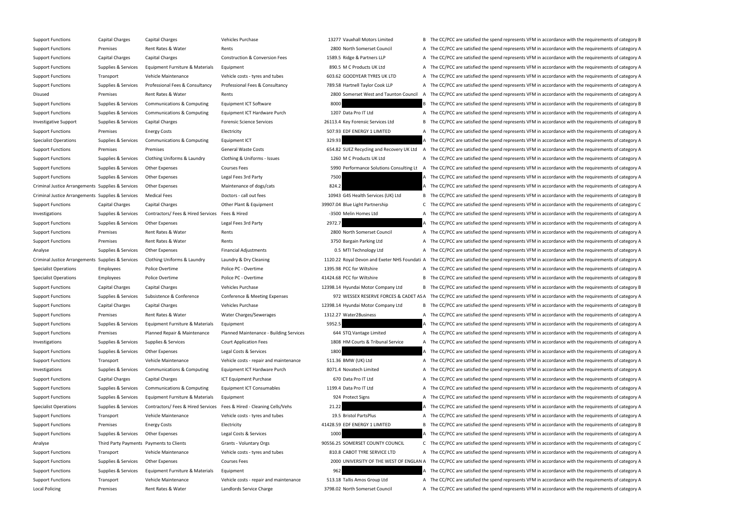Support Functions Capital Charges Capital Charges Vehicles Purchase Vehicles Purchase 13277 Vauxhall Motors Limited B The CC/PCC are satisfied the spend represents VFM in accordance with the requirements of category B Support Functions Premises Rent Rates & Water Rents Rents Rents Rents 2800 North Somerset Council A The CC/PCC are satisfied the spend represents VFM in accordance with the requirements of category A Support Functions Capital Charges Capital Charges Construction & Conversion Fees 1589.5 Ridge & Partners LLP A The CC/PCC are satisfied the spend represents VFM in accordance with the requirements of category A Support Functions Supplies & Services Equipment Furniture & Materials Equipment 8 and Equipment 8 and Equipment 8 and A The CC/PCC are satisfied the spend represents VFM in accordance with the requirements of category A Support Functions Transport Vehicle Maintenance Vehicle costs - tyres and tubes 603.62 GOODYEAR TYRES UK LTD A The CC/PCC are satisfied the spend represents VFM in accordance with the requirements of category A Support Functions Supplies & Services Professional Fees & Consultancy Professional Fees & Consultancy Professional Fees & Consultancy Professional Fees & Consultancy 789.58 Hartnell Taylor Cook LLP A The CC/PCC are satisfi Disused Premises Rent Rates & Water Rents Rents Rents 2800 Somerset West and Taunton Council A The CC/PCC are satisfied the spend represents VFM in accordance with the requirements of category A Support Functions Supplies & Services Communications & Computing Equipment ICT Software 8000 8000 B The CC/PCC are satisfied the spend represents VFM in accordance with the requirements of category B Support Functions Supplies & Services Communications & Computing Equipment ICT Hardware Purch 1207 Data Pro IT Ltd A The CC/PCC are satisfied the spend represents VFM in accordance with the requirements of category A Investigative Support Supplies & Services Capital Charges Forensic Science Services 26113.4 Key Forensic Services Ltd B The CC/PCC are satisfied the spend represents VFM in accordance with the requirements of category B Support Functions Premises Energy Costs Electricity Electricity and the SD7.93 EDF ENERGY 1 LIMITED A The CC/PCC are satisfied the spend represents VFM in accordance with the requirements of category A Specialist Operations Supplies & Services Communications & Computing Equipment ICT 329.93 39.93 A The CC/PCC are satisfied the spend represents VFM in accordance with the requirements of category A Support Functions Premises Premises Premises General Waste Costs G54.82 SUEZ Recycling and Recovery UK Ltd A The CC/PCC are satisfied the spend represents VFM in accordance with the requirements of category A Support Functions Supplies & Services Clothing Uniforms & Laundry Clothing & Uniforms - Issues 1260 M C Products UK Ltd A The CC/PCC are satisfied the spend represents VFM in accordance with the requirements of category A Support Functions Supplies & Services Other Expenses Courses Fees Courses Fees 5990 Performance Solutions Consulting Lt A The CC/PCC are satisfied the spend represents VFM in accordance with the requirements of category A Support Functions Supplies & Services Other Expenses Legal Fees 3rd Party 7500 7500 A The CC/PCC are satisfied the spend represents VFM in accordance with the requirements of category A Criminal Justice Arrangements Supplies & Services Other Expenses Maintenance of dogs/cats 824.2 824.2 A The CC/PCC are satisfied the spend represents VFM in accordance with the requirements of category A Criminal Justice Arrangements Supplies & Services Medical Fees Doctors - call out fees 10943 G4S Health Services (UK) Ltd B The CC/PCC are satisfied the spend represents VFM in accordance with the requirements of category Support Functions Capital Charges Capital Charges Other Plant & Equipment 39907.04 Blue Light Partnership C The CC/PCC are satisfied the spend represents VFM in accordance with the requirements of category C Investigations Supplies & Services Contractors/ Fees & Hired Services Fees & Hired - 3500 Melin Homes Ltd A The CC/PCC are satisfied the spend represents VFM in accordance with the requirements of category A Support Functions Supplies & Services Other Expenses Legal Fees 3rd Party 2972.7 2002.7 A The CC/PCC are satisfied the spend represents VFM in accordance with the requirements of category A Support Functions Premises Rent Rates & Water Rents Rents Rents Rents 2800 North Somerset Council A The CC/PCC are satisfied the spend represents VFM in accordance with the requirements of category A Support Functions Premises Rent Rates & Water Rents Rents Rents and Rents and A The CC/PCC are satisfied the spend represents VFM in accordance with the requirements of category A Analyse Supplies & Services Other Expenses Financial Adjustments Financial Adjustments 0.5 MTI Technology Ltd A The CC/PCC are satisfied the spend represents VFM in accordance with the requirements of category A Criminal Justice Arrangements Supplies & Services Clothing Uniforms & Laundry Laundry & Dry Cleaning 1120.22 Royal Devon and Exeter NHS Foundati A The CC/PCC are satisfied the spend represents VFM in accordance with the re Specialist Operations Employees Police Overtime Police PC - Overtime 1395.98 PCC for Wiltshire A The CC/PCC are satisfied the spend represents VFM in accordance with the requirements of category A Specialist Operations Employees Police Overtime Police PC - Overtime A1424.68 PCC for Wiltshire B The CC/PCC are satisfied the spend represents VFM in accordance with the requirements of category B Support Functions Capital Charges Capital Charges Vehicles Purchase Vehicles Purchase 12398.14 Hyundai Motor Company Ltd B The CC/PCC are satisfied the spend represents VFM in accordance with the requirements of category B Support Functions Supplies & Services Subsistence & Conference Conference & Meeting Expenses 972 WESSEX RESERVE FORCES & CADET AS A The CC/PCC are satisfied the spend represents VFM in accordance with the requirements of c Support Functions Capital Charges Capital Charges Vehicles Purchase Vehicles Purchase 12398.14 Hyundai Motor Company Ltd B The CC/PCC are satisfied the spend represents VFM in accordance with the requirements of category B Support Functions Premises Rent Rates & Water Water Charges/Sewerages 1312.27 Water2Business A The CC/PCC are satisfied the spend represents VFM in accordance with the requirements of category A Support Functions Supplies & Services Equipment Furniture & Materials Equipment 5952.5 5952.5 A The CC/PCC are satisfied the spend represents VFM in accordance with the requirements of category A Support Functions Premises Planned Repair & Maintenance Planned Maintenance - Building Services 644 STQ Vantage Limited A The CC/PCC are satisfied the spend represents VFM in accordance with the requirements of category A Investigations Supplies & Services Supplies & Services Court Application Fees 1808 HM Courts & Tribunal Service A The CC/PCC are satisfied the spend represents VFM in accordance with the requirements of category A Support Functions Supplies & Services Other Expenses Legal Costs & Services 1800 1800 A The CC/PCC are satisfied the spend represents VFM in accordance with the requirements of category A Support Functions Transport Vehicle Maintenance Vehicle costs - repair and maintenance 511.36 BMW (UK) Ltd A The CC/PCC are satisfied the spend represents VFM in accordance with the requirements of category A Investigations Supplies & Services Communications & Computing Equipment ICT Hardware Purch 8071.4 Novatech Limited A The CC/PCC are satisfied the spend represents VFM in accordance with the requirements of category A Support Functions Capital Charges Capital Charges ICT Equipment Purchase ICT Equipment Purchase 670 Data Pro IT Ltd A The CC/PCC are satisfied the spend represents VFM in accordance with the requirements of category A Support Functions Supplies & Services Communications & Computing Equipment ICT Consumables 1199.4 Data Pro IT Ltd A The CC/PCC are satisfied the spend represents VFM in accordance with the requirements of category A Support Functions Supplies & Services Equipment Furniture & Materials Equipment 924 Protect Signs A The CC/PCC are satisfied the spend represents VFM in accordance with the requirements of category A Specialist Operations Supplies & Services Contractors/ Fees & Hired Services Fees & Hired - Cleaning Cells/Vehs 21.22 2 A The CC/PCC are satisfied the spend represents VFM in accordance with the requirements of category A Support Functions Transport Vehicle Maintenance Vehicle costs - tyres and tubes 19.5 Bristol PartsPlus A The CC/PCC are satisfied the spend represents VFM in accordance with the requirements of category A Support Functions Premises Energy Costs Electricity Electricity A1428.59 EDF ENERGY 1 LIMITED B The CC/PCC are satisfied the spend represents VFM in accordance with the requirements of category B Support Functions Supplies & Services Other Expenses Legal Costs & Services Legal Costs & Services 1000 A The CC/PCC are satisfied the spend represents VFM in accordance with the requirements of category A Analyse Third Party Payments Payments to Clients Grants - Voluntary Orgs 90556.25 SOMERSET COUNTY COUNCIL C The CC/PCC are satisfied the spend represents VFM in accordance with the requirements of category C Support Functions Transport Vehicle Maintenance Vehicle costs - tyres and tubes 810.8 CABOT TYRE SERVICE LTD A The CC/PCC are satisfied the spend represents VFM in accordance with the requirements of category A Support Functions Supplies & Services Other Expenses Courses Fees 2000 UNIVERSITY OF THE WEST OF ENGLAN A The CC/PCC are satisfied the spend represents VFM in accordance with the requirements of category A Support Functions Supplies & Services Equipment Furniture & Materials Equipment 962 962 A The CC/PCC are satisfied the spend represents VFM in accordance with the requirements of category A Support Functions Transport Vehicle Maintenance Vehicle costs - repair and maintenance 513.18 Tallis Amos Group Ltd A The CC/PCC are satisfied the spend represents VFM in accordance with the requirements of category A Local Policing Premises Rent Rates & Water Landlords Service Charge 3798.02 North Somerset Council A The CC/PCC are satisfied the spend represents VFM in accordance with the requirements of category A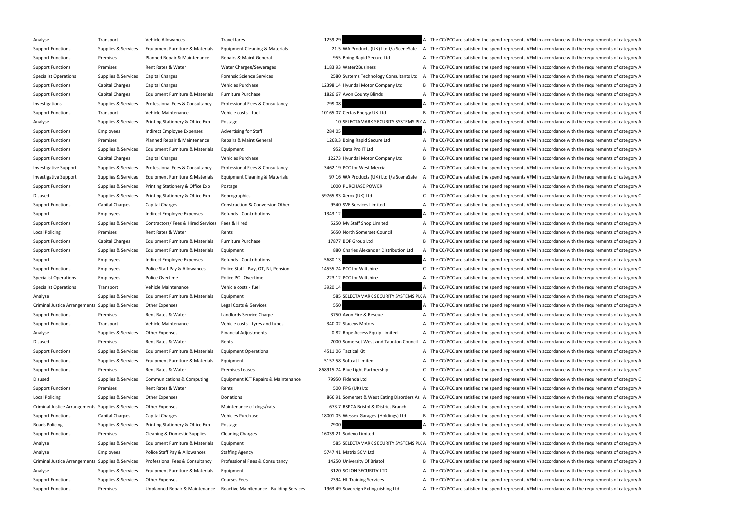Analyse Transport Vehicle Allowances Travel fares Travel fares 1259.29 A The CC/PCC are satisfied the spend represents VFM in accordance with the requirements of category A Support Functions Supplies & Services Equipment Furniture & Materials Equipment Cleaning & Materials Equipment Cleaning & Materials 21.5 WA Products (UK) Ltd t/a SceneSafe A The CC/PCC are satisfied the spend represents VF Support Functions Premises Planned Repair & Maintenance Repairs & Maint General 955 Boing Rapid Secure Ltd A The CC/PCC are satisfied the spend represents VFM in accordance with the requirements of category A Support Functions Premises Rent Rates & Water Water Charges/Sewerages 1183.93 Water2Business A The CC/PCC are satisfied the spend represents VFM in accordance with the requirements of category A Supplies & Services Capital Charges Forensic Science Services and the C2580 Systems Technology Consultants Ltd A The CC/PCC are satisfied the spend represents VFM in accordance with the requirements of category A Support Functions Capital Charges Capital Charges Vehicles Purchase Vehicles Purchase 12398.14 Hyundai Motor Company Ltd B The CC/PCC are satisfied the spend represents VFM in accordance with the requirements of category B Support Functions Capital Charges Equipment Furniture & Materials Furniture Purchase 1826.67 Avon County Blinds A The CC/PCC are satisfied the spend represents VFM in accordance with the requirements of category A Investigations Supplies & Services Professional Fees & Consultancy Professional Fees & Consultancy Professional Fees & Consultancy 799.08 A The CC/PCC are satisfied the spend represents VFM in accordance with the requireme Support Functions Transport Vehicle Maintenance Vehicle costs - fuel 10165.07 Certas Energy UK Ltd B The CC/PCC are satisfied the spend represents VFM in accordance with the requirements of category B Analyse Supplies & Services Printing Stationery & Office Exp Postage 10 SELECTAMARK SECURITY SYSTEMS PLC A The CC/PCC are satisfied the spend represents VFM in accordance with the requirements of category A Support Functions Employees Indirect Employee Expenses Advertising for Staff 284.05 284.05 A The CC/PCC are satisfied the spend represents VFM in accordance with the requirements of category A Support Functions Premises Planned Repair & Maintenance Repairs & Maint General 1268.3 Boing Rapid Secure Ltd A The CC/PCC are satisfied the spend represents VFM in accordance with the requirements of category A Support Functions Supplies & Services Equipment Furniture & Materials Equipment 952 Data Pro IT Ltd A The CC/PCC are satisfied the spend represents VFM in accordance with the requirements of category A Support Functions Capital Charges Capital Charges Vehicles Purchase Vehicles Purchase 12273 Hyundai Motor Company Ltd B The CC/PCC are satisfied the spend represents VFM in accordance with the requirements of category B Investigative Support Supplies & Services Professional Fees & Consultancy Professional Fees & Consultancy Professional Fees & Consultancy Professional Fees & Consultancy 3462.19 PCC for West Mercia A The CC/PCC are satisfi Investigative Support Supplies & Services Equipment Furniture & Materials Equipment Cleaning & Materials Equipment Cleaning & Materials 97.16 WA Products (UK) Ltd t/a SceneSafe A The CC/PCC are satisfied the spend represen Support Functions Supplies & Services Printing Stationery & Office Exp Postage 1000 PURCHASE POWER A The CC/PCC are satisfied the spend represents VFM in accordance with the requirements of category A Disused Supplies & Services Printing Stationery & Office Exp Reprographics 59765.83 Xerox (UK) Ltd C The CC/PCC are satisfied the spend represents VFM in accordance with the requirements of category C Support Functions Capital Charges Capital Charges Construction & Conversion Other 9540 SVE Services Limited A The CC/PCC are satisfied the spend represents VFM in accordance with the requirements of category A Support Employees Indirect Employee Expenses Refunds - Contributions 1343.12 1343.12 A The CC/PCC are satisfied the spend represents VFM in accordance with the requirements of category A Support Functions Supplies & Services Contractors/ Fees & Hired Services Fees & Hired 5250 My Staff Shop Limited A The CC/PCC are satisfied the spend represents VFM in accordance with the requirements of category A Local Policing Premises Premises Rent Rates & Water Rents Rents Rents Rents Rents S650 North Somerset Council A The CC/PCC are satisfied the spend represents VFM in accordance with the requirements of category A Support Functions Capital Charges Equipment Furniture & Materials Furniture Purchase 17877 BOF Group Ltd B The CC/PCC are satisfied the spend represents VFM in accordance with the requirements of category B Support Functions Supplies & Services Equipment Furniture & Materials Equipment Equipment 880 Charles Alexander Distribution Ltd A The CC/PCC are satisfied the spend represents VFM in accordance with the requirements of ca Support Employees Indirect Employee Expenses Refunds - Contributions 5680.13 5680.13 A The CC/PCC are satisfied the spend represents VFM in accordance with the requirements of category A Support Functions Employees Police Staff Pay & Allowances Police Staff - Pay, OT, NI, Pension 14555.74 PCC for Wiltshire C The CC/PCC are satisfied the spend represents VFM in accordance with the requirements of category C Specialist Operations Employees Police Overtime Police PC - Overtime Police PC - Overtime 223.12 PCC for Wiltshire A The CC/PCC are satisfied the spend represents VFM in accordance with the requirements of category A Specialist Operations Transport Vehicle Maintenance Vehicle costs - fuel 3920.14 3920.14 A The CC/PCC are satisfied the spend represents VFM in accordance with the requirements of category A Analyse Supplies & Services Equipment Furniture & Materials Equipment 585 SELECTAMARK SECURITY SYSTEMS PLCA The CC/PCC are satisfied the spend represents VFM in accordance with the requirements of category A Criminal Justice Arrangements Supplies & Services Other Expenses Legal Costs & Services Legal Costs & Services Supplies A Services Cuber Expenses Legal Costs & Services Supplies and The CC/PCC are satisfied the spend repre Support Functions Premises Rent Rates & Water Landlords Service Charge 3750 Avon Fire & Rescue A The CC/PCC are satisfied the spend represents VFM in accordance with the requirements of category A Support Functions Transport Vehicle Maintenance Vehicle costs - tyres and tubes 340.02 Staceys Motors A The CC/PCC are satisfied the spend represents VFM in accordance with the requirements of category A Analyse Supplies & Services Other Expenses Financial Adjustments Financial Adjustments -0.82 Rope Access Equip Limited A The CC/PCC are satisfied the spend represents VFM in accordance with the requirements of category A Disused Premises Rent Rates & Water Rents Rents Rents Rents 7000 Somerset West and Taunton Council A The CC/PCC are satisfied the spend represents VFM in accordance with the requirements of category A Support Functions Supplies & Services Equipment Furniture & Materials Equipment Operational 4511.06 Tactical Kit A The CC/PCC are satisfied the spend represents VFM in accordance with the requirements of category A Support Functions Supplies & Services Equipment Furniture & Materials Equipment 5157.58 Softcat Limited A The CC/PCC are satisfied the spend represents VFM in accordance with the requirements of category A Support Functions Premises Premises Premit Rates & Water Premises Leases Premises Leases 868915.74 Blue Light Partnership C The CC/PCC are satisfied the spend represents VFM in accordance with the requirements of category Disused Supplies & Services Communications & Computing Equipment ICT Repairs & Maintenance 79950 Fidenda Ltd C The CC/PCC are satisfied the spend represents VFM in accordance with the requirements of category C Support Functions Premises Rent Rates & Water Rents Rents Rents Rents A The CC/PCC are satisfied the spend represents VFM in accordance with the requirements of category A Local Policing Supplies & Services Other Expenses Donations Donations Donations 866.91 Somerset & West Eating Disorders As A The CC/PCC are satisfied the spend represents VFM in accordance with the requirements of category Criminal Justice Arrangements Supplies & Services Other Expenses Maintenance of dogs/cats Maintenance of dogs/cats 673.7 RSPCA Bristol & District Branch A The CC/PCC are satisfied the spend represents VFM in accordance wit Support Functions Capital Charges Capital Charges Vehicles Purchase Vehicles Purchase 18001.05 Wessex Garages (Holdings) Ltd B The CC/PCC are satisfied the spend represents VFM in accordance with the requirements of catego Roads Policing Supplies & Services Printing Stationery & Office Exp Postage 7900 7900 7900 A The CC/PCC are satisfied the spend represents VFM in accordance with the requirements of category A Support Functions Premises Cleaning & Domestic Supplies Cleaning Charges 16039.21 Sodexo Limited B The CC/PCC are satisfied the spend represents VFM in accordance with the requirements of category B Analyse Supplies & Services Equipment Furniture & Materials Equipment 585 SELECTAMARK SECURITY SYSTEMS PLC A The CC/PCC are satisfied the spend represents VFM in accordance with the requirements of category A Analyse Employees Police Staff Pay & Allowances Staffing Agency 5747.41 Matrix SCM Ltd A The CC/PCC are satisfied the spend represents VFM in accordance with the requirements of category A Criminal Justice Arrangements Supplies & Services Professional Fees & Consultancy Professional Fees & Consultancy Professional Fees & Consultancy Professional Fees & Consultancy 14250 University Of Bristol B The CC/PCC are Analyse Supplies & Services Equipment Furniture & Materials Equipment Supplies and the Services Equipment Supplies & Services Equipment Purniture & Materials Equipment Supplies A The CC/PCC are satisfied the spend represen Support Functions Supplies & Services Other Expenses Courses Fees Courses Fees 2394 HL Training Services A The CC/PCC are satisfied the spend represents VFM in accordance with the requirements of category A Support Functions Premises Dipplanned Repair & Maintenance Reactive Maintenance - Building Services 1963.49 Sovereign Extinguishing Ltd A The CC/PCC are satisfied the spend represents VFM in accordance with the requirement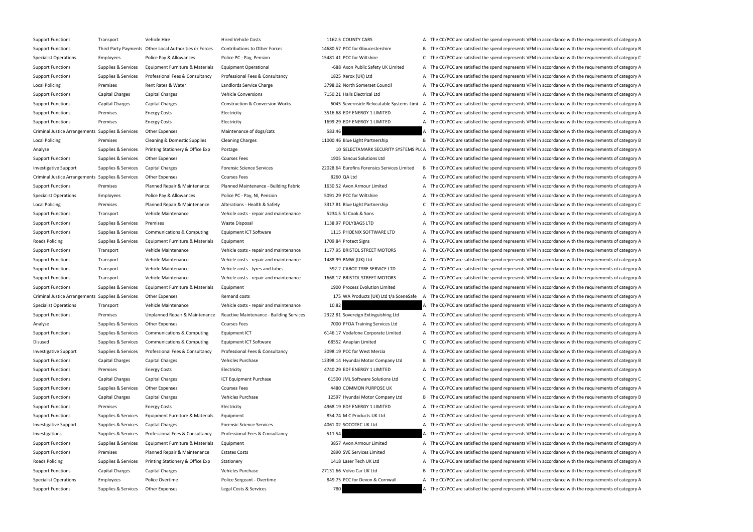Support Functions Transport Vehicle Hire Hired Vehicle Costs 1162.5 COUNTY CARS A The CC/PCC are satisfied the spend represents VFM in accordance with the requirements of category A Support Functions Third Party Payments Other Local Authorities or Forces Contributions to Other Forces 14680.57 PCC for Gloucestershire B The CC/PCC are satisfied the spend represents VFM in accordance with the requirement Specialist Operations Employees Police Pay & Allowances Police PC - Pay, Pension 15481.41 PCC for Wiltshire C The CC/PCC are satisfied the spend represents VFM in accordance with the requirements of category C Support Functions Supplies & Services Equipment Furniture & Materials Equipment Operational 688 Axon Public Safety UK Limited A The CC/PCC are satisfied the spend represents VFM in accordance with the requirements of categ Support Functions Supplies & Services Professional Fees & Consultancy Professional Fees & Consultancy Professional Fees & Consultancy 1825 Xerox (UK) Ltd A The CC/PCC are satisfied the spend represents VFM in accordance wi Local Policing Premises Rent Rates & Water Landlords Service Charge 3798.02 North Somerset Council A The CC/PCC are satisfied the spend represents VFM in accordance with the requirements of category A Support Functions Capital Charges Capital Charges Vehicle Conversions 7150.21 Halls Electrical Ltd A The CC/PCC are satisfied the spend represents VFM in accordance with the requirements of category A Support Functions Capital Charges Capital Charges Construction & Conversion Works 6045 Severnside Relocatable Systems Limi A The CC/PCC are satisfied the spend represents VFM in accordance with the requirements of category Support Functions Premises Energy Costs Electricity Electricity and the Support Electricity and the CC/PCC are satisfied the spend represents VFM in accordance with the requirements of category A Support Functions Premises Energy Costs Electricity Electricity and the Support Electricity and the COVID EDF ENERGY 1 LIMITED A The CC/PCC are satisfied the spend represents VFM in accordance with the requirements of cate Criminal Justice Arrangements Supplies & Services Other Expenses Maintenance of dogs/cats Maintenance of dogs/cats 583.46 A The CC/PCC are satisfied the spend represents VFM in accordance with the requirements of category Local Policing Premises Cleaning & Domestic Supplies Cleaning Charges 11000.46 Blue Light Partnership B The CC/PCC are satisfied the spend represents VFM in accordance with the requirements of category B Analyse Supplies & Services Printing Stationery & Office Exp Postage 10 SELECTAMARK SECURITY SYSTEMS PLC A The CC/PCC are satisfied the spend represents VFM in accordance with the requirements of category A Support Functions Supplies & Services Other Expenses Courses Fees Courses Fees 1905 Sancus Solutions Ltd A The CC/PCC are satisfied the spend represents VFM in accordance with the requirements of category A Investigative Support Supplies & Services Capital Charges Forensic Science Services Forensic Science Services 22028.64 Eurofins Forensics Services 20028.64 Eurofins Forensics Services Limited B The CC/PCC are satisfied the Criminal Justice Arrangements Supplies & Services Other Expenses Courses Fees Services Courses Fees 8260 QA Ltd A The CC/PCC are satisfied the spend represents VFM in accordance with the requirements of category A Support Functions Premises Planned Repair & Maintenance Planned Maintenance - Building Fabric 1630.52 Avon Armour Limited A The CC/PCC are satisfied the spend represents VFM in accordance with the requirements of category Specialist Operations Employees Police Pay & Allowances Police PC - Pay, NI, Pension 5091.29 PCC for Wiltshire A The CC/PCC are satisfied the spend represents VFM in accordance with the requirements of category A Local Policing Premises Planned Repair & Maintenance Alterations - Health & Safety 3317.81 Blue Light Partnership C The CC/PCC are satisfied the spend represents VFM in accordance with the requirements of category C Support Functions Transport Vehicle Maintenance Vehicle costs - repair and maintenance 5234.5 SJ Cook & Sons A The CC/PCC are satisfied the spend represents VFM in accordance with the requirements of category A Support Functions Supplies & Services Premises Waste Disposal Waste Disposal 1138.97 POLYBAGS LTD A The CC/PCC are satisfied the spend represents VFM in accordance with the requirements of category A Support Functions Supplies & Services Communications & Computing Equipment ICT Software 1115 PHOENIX SOFTWARE LTD A The CC/PCC are satisfied the spend represents VFM in accordance with the requirements of category A Roads Policing Supplies & Services Equipment Furniture & Materials Equipment 1709.84 Protect Signs A The CC/PCC are satisfied the spend represents VFM in accordance with the requirements of category A Support Functions Transport Vehicle Maintenance Vehicle costs - repair and maintenance 1177.95 BRISTOL STREET MOTORS A The CC/PCC are satisfied the spend represents VFM in accordance with the requirements of category A Support Functions Transport Vehicle Maintenance Vehicle costs - repair and maintenance 1488.99 BMW (UK) Ltd A The CC/PCC are satisfied the spend represents VFM in accordance with the requirements of category A Support Functions Transport Vehicle Maintenance Vehicle costs - tyres and tubes 592.2 CABOT TYRE SERVICE LTD A The CC/PCC are satisfied the spend represents VFM in accordance with the requirements of category A Support Functions Transport Vehicle Maintenance Vehicle costs - repair and maintenance 1668.17 BRISTOL STREET MOTORS A The CC/PCC are satisfied the spend represents VFM in accordance with the requirements of category A Support Functions Supplies & Services Equipment Furniture & Materials Equipment 1900 Process Evolution Limited A The CC/PCC are satisfied the spend represents VFM in accordance with the requirements of category A Criminal Justice Arrangements Supplies & Services Other Expenses Remand costs Remand costs 175 WA Products (UK) Ltd t/a SceneSafe A The CC/PCC are satisfied the spend represents VFM in accordance with the requirements of c Specialist Operations Transport Vehicle Maintenance Vehicle costs - repair and maintenance 10.82 A The CC/PCC are satisfied the spend represents VFM in accordance with the requirements of category A Support Functions Premises Dipplanned Repair & Maintenance Reactive Maintenance - Building Services 2322.81 Sovereign Extinguishing Ltd A The CC/PCC are satisfied the spend represents VFM in accordance with the requirement Analyse Supplies & Services Other Expenses Courses Fees Courses Fees 7000 PFOA Training Services Ltd A The CC/PCC are satisfied the spend represents VFM in accordance with the requirements of category A Support Functions Supplies & Services Communications & Computing Equipment ICT 6146.17 Vodafone Corporate Limited A The CC/PCC are satisfied the spend represents VFM in accordance with the requirements of category A Disused Supplies & Services Communications & Computing Equipment ICT Software 68552 Anaplan Limited C The CC/PCC are satisfied the spend represents VFM in accordance with the requirements of category C Investigative Support Supplies & Services Professional Fees & Consultancy Professional Fees & Consultancy Professional Fees & Consultancy Professional Fees & Consultancy 3098.19 PCC for West Mercia A The CC/PCC are satisfi Support Functions Capital Charges Capital Charges Vehicles Purchase Vehicles Curchase 12398.14 Hyundai Motor Company Ltd B The CC/PCC are satisfied the spend represents VFM in accordance with the requirements of category B Support Functions Premises Energy Costs Electricity Electricity and the control and the CC/PCC are satisfied the spend represents VFM in accordance with the requirements of category A Support Functions Capital Charges Capital Charges ICT Equipment Purchase 61500 JML Software Solutions Ltd C The CC/PCC are satisfied the spend represents VFM in accordance with the requirements of category C Support Functions Supplies & Services Other Expenses Courses Fees Courses Fees 4480 COMMON PURPOSE UK A The CC/PCC are satisfied the spend represents VFM in accordance with the requirements of category A Support Functions Capital Charges Capital Charges Vehicles Purchase Vehicles Purchase 12597 Hyundai Motor Company Ltd B The CC/PCC are satisfied the spend represents VFM in accordance with the requirements of category B Support Functions Premises Energy Costs Electricity Electricity and the Support Electricity A The CC/PCC are satisfied the spend represents VFM in accordance with the requirements of category A Support Functions Supplies & Services Equipment Furniture & Materials Equipment 854.74 M C Products UK Ltd A The CC/PCC are satisfied the spend represents VFM in accordance with the requirements of category A Investigative Support Supplies & Services Capital Charges Forensic Science Services 4061.02 SOCOTEC UK Ltd A The CC/PCC are satisfied the spend represents VFM in accordance with the requirements of category A Investigations Supplies & Services Professional Fees & Consultancy Professional Fees & Consultancy Professional Fees & Consultancy 511.54 A The CC/PCC are satisfied the spend represents VFM in accordance with the requireme Support Functions Supplies & Services Equipment Furniture & Materials Equipment 3857 Avon Armour Limited A The CC/PCC are satisfied the spend represents VFM in accordance with the requirements of category A Support Functions Premises Planned Repair & Maintenance Estates Costs 2890 SVE Services Limited A The CC/PCC are satisfied the spend represents VFM in accordance with the requirements of category A Roads Policing Supplies & Services Printing Stationery & Office Exp Stationery 1418 Laser Tech UK Ltd A The CC/PCC are satisfied the spend represents VFM in accordance with the requirements of category A Support Functions Capital Charges Capital Charges Vehicles Purchase Vehicles Capital Charges Vehicles Purchase 27131.66 Volvo Car UK Ltd B The CC/PCC are satisfied the spend represents VFM in accordance with the requiremen Specialist Operations Employees Police Overtime Police Sergeant - Overtime 849.75 PCC for Devon & Cornwall A The CC/PCC are satisfied the spend represents VFM in accordance with the requirements of category A Support Functions Supplies & Services Other Expenses Legal Costs & Services 200 280 A The CC/PCC are satisfied the spend represents VFM in accordance with the requirements of category A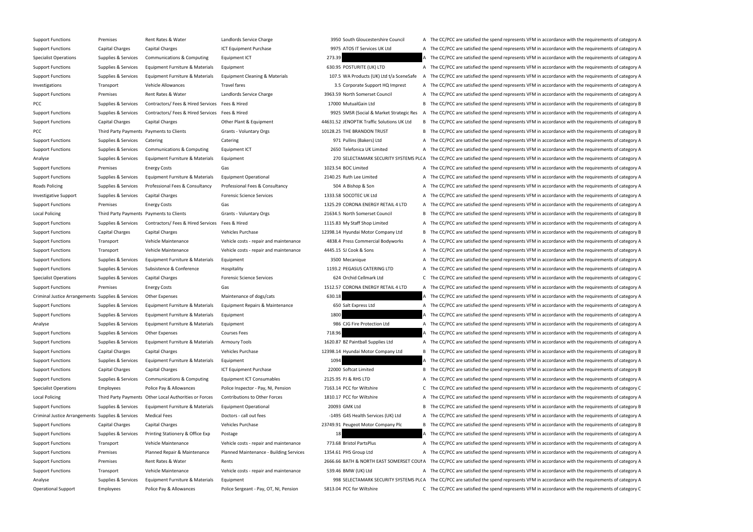| Support Functions                                 | Premises                                 | Rent Rates & Water                                     | Landiords Service Char          |
|---------------------------------------------------|------------------------------------------|--------------------------------------------------------|---------------------------------|
| <b>Support Functions</b>                          | Capital Charges                          | Capital Charges                                        | <b>ICT Equipment Purchas</b>    |
| <b>Specialist Operations</b>                      | Supplies & Services                      | <b>Communications &amp; Computing</b>                  | Equipment ICT                   |
| <b>Support Functions</b>                          | Supplies & Services                      | Equipment Furniture & Materials                        | Equipment                       |
| <b>Support Functions</b>                          | Supplies & Services                      | Equipment Furniture & Materials                        | <b>Equipment Cleaning &amp;</b> |
| Investigations                                    | Transport                                | Vehicle Allowances                                     | <b>Travel fares</b>             |
| <b>Support Functions</b>                          | Premises                                 | Rent Rates & Water                                     | Landlords Service Char          |
| <b>PCC</b>                                        | Supplies & Services                      | Contractors/Fees & Hired Services                      | Fees & Hired                    |
| <b>Support Functions</b>                          | Supplies & Services                      | Contractors/ Fees & Hired Services                     | Fees & Hired                    |
| <b>Support Functions</b>                          | Capital Charges                          | Capital Charges                                        | Other Plant & Equipme           |
| <b>PCC</b>                                        | Third Party Payments Payments to Clients |                                                        | Grants - Voluntary Org          |
| <b>Support Functions</b>                          | Supplies & Services                      | Catering                                               | Catering                        |
| <b>Support Functions</b>                          | Supplies & Services                      | Communications & Computing                             | Equipment ICT                   |
| Analyse                                           | Supplies & Services                      | Equipment Furniture & Materials                        | Equipment                       |
| <b>Support Functions</b>                          | Premises                                 | <b>Energy Costs</b>                                    | Gas                             |
| <b>Support Functions</b>                          | Supplies & Services                      | Equipment Furniture & Materials                        | <b>Equipment Operationa</b>     |
| Roads Policing                                    | Supplies & Services                      | Professional Fees & Consultancy                        | Professional Fees & Co          |
| <b>Investigative Support</b>                      | Supplies & Services                      | Capital Charges                                        | <b>Forensic Science Servic</b>  |
| <b>Support Functions</b>                          | Premises                                 | <b>Energy Costs</b>                                    | Gas                             |
| <b>Local Policing</b>                             | Third Party Payments Payments to Clients |                                                        | Grants - Voluntary Org          |
| <b>Support Functions</b>                          | Supplies & Services                      | Contractors/ Fees & Hired Services                     | Fees & Hired                    |
| <b>Support Functions</b>                          | Capital Charges                          | Capital Charges                                        | <b>Vehicles Purchase</b>        |
| <b>Support Functions</b>                          | Transport                                | Vehicle Maintenance                                    | Vehicle costs - repair a        |
| <b>Support Functions</b>                          | Transport                                | Vehicle Maintenance                                    | Vehicle costs - repair a        |
| <b>Support Functions</b>                          | Supplies & Services                      | Equipment Furniture & Materials                        | Equipment                       |
| <b>Support Functions</b>                          | Supplies & Services                      | Subsistence & Conference                               | Hospitality                     |
| <b>Specialist Operations</b>                      | Supplies & Services                      | Capital Charges                                        | <b>Forensic Science Servic</b>  |
| <b>Support Functions</b>                          | Premises                                 | <b>Energy Costs</b>                                    | Gas                             |
| Criminal Justice Arrangements Supplies & Services |                                          | Other Expenses                                         | Maintenance of dogs/            |
| <b>Support Functions</b>                          | Supplies & Services                      | Equipment Furniture & Materials                        | Equipment Repairs & N           |
| <b>Support Functions</b>                          | Supplies & Services                      | Equipment Furniture & Materials                        | Equipment                       |
| Analyse                                           | Supplies & Services                      | Equipment Furniture & Materials                        | Equipment                       |
| <b>Support Functions</b>                          | Supplies & Services                      | <b>Other Expenses</b>                                  | <b>Courses Fees</b>             |
| <b>Support Functions</b>                          | Supplies & Services                      | Equipment Furniture & Materials                        | <b>Armoury Tools</b>            |
| <b>Support Functions</b>                          | Capital Charges                          | Capital Charges                                        | <b>Vehicles Purchase</b>        |
| <b>Support Functions</b>                          | Supplies & Services                      | Equipment Furniture & Materials                        | Equipment                       |
| <b>Support Functions</b>                          | Capital Charges                          | Capital Charges                                        | ICT Equipment Purchas           |
| <b>Support Functions</b>                          | Supplies & Services                      | Communications & Computing                             | <b>Equipment ICT Consun</b>     |
| <b>Specialist Operations</b>                      | Employees                                | Police Pay & Allowances                                | Police Inspector - Pay,         |
| <b>Local Policing</b>                             |                                          | Third Party Payments Other Local Authorities or Forces | Contributions to Other          |
| <b>Support Functions</b>                          | Supplies & Services                      | Equipment Furniture & Materials                        | <b>Equipment Operationa</b>     |
| Criminal Justice Arrangements Supplies & Services |                                          | <b>Medical Fees</b>                                    | Doctors - call out fees         |
| <b>Support Functions</b>                          | Capital Charges                          | Capital Charges                                        | Vehicles Purchase               |
| <b>Support Functions</b>                          | Supplies & Services                      | Printing Stationery & Office Exp                       | Postage                         |
| <b>Support Functions</b>                          | Transport                                | Vehicle Maintenance                                    | Vehicle costs - repair a        |
| <b>Support Functions</b>                          | Premises                                 | Planned Repair & Maintenance                           | Planned Maintenance             |
| <b>Support Functions</b>                          | Premises                                 | Rent Rates & Water                                     | Rents                           |
| <b>Support Functions</b>                          | Transport                                | Vehicle Maintenance                                    | Vehicle costs - repair a        |
| Analyse                                           | Supplies & Services                      | Equipment Furniture & Materials                        | Equipment                       |
| <b>Operational Support</b>                        | <b>Employees</b>                         | Police Pay & Allowances                                | Police Sergeant - Pay, 0        |
|                                                   |                                          |                                                        |                                 |

Support Functions Agent Rates Arror Council A The CC/PCC are satisfied the spend represents VFM in accordance with the requirements of category A The CC/PCC are satisfied the spend represents VFM in accordance with the req Support Functions Charges Capital Charges Charges Capital Charges Capital Charges Charges 120 A Services UK Ltd A The CC/PCC are satisfied the spend represents VFM in accordance with the requirements of category A 273.39 **A** The CC/PCC are satisfied the spend represents VFM in accordance with the requirements of category A 630.95 POSTURITE (UK) LTD A The CC/PCC are satisfied the spend represents VFM in accordance with the requirements of category A Materials 107.5 WA Products (UK) Ltd t/a SceneSafe A The CC/PCC are satisfied the spend represents VFM in accordance with the requirements of category A 3.5 Corporate Support HQ Imprest A The CC/PCC are satisfied the spend represents VFM in accordance with the requirements of category A Support Functions Asserve Tunctions A The CC/PCC are satisfied the spend represents VFM in accordance with the requirements of category A 17000 MutualGain Ltd **B** The CC/PCC are satisfied the spend represents VFM in accordance with the requirements of category B 9925 SMSR (Social & Market Strategic Res A The CC/PCC are satisfied the spend represents VFM in accordance with the requirements of category A ent Functions Capital Charges Capital Charges Capital Charges Capital Charges Capital Charges Other Plant Charges Assets VFM in accordance with the requirements of category B category B 10128.25 THE BRANDON TRUST B The CC/PCC are satisfied the spend represents VFM in accordance with the requirements of category B 971 Pullins (Bakers) Ltd **A** The CC/PCC are satisfied the spend represents VFM in accordance with the requirements of category A 2650 Telefonica UK Limited **A The CC/PCC are satisfied the spend represents VFM** in accordance with the requirements of category A 270 SELECTAMARK SECURITY SYSTEMS PL(A The CC/PCC are satisfied the spend represents VFM in accordance with the requirements of category A 1023.54 BOC Limited **A** The CC/PCC are satisfied the spend represents VFM in accordance with the requirements of category A 2140.25 Ruth Lee Limited **A** The CC/PCC are satisfied the spend represents VFM in accordance with the requirements of category A onsultancy **Examples A Bishop & Son A The CC/PCC** are satisfied the spend represents VFM in accordance with the requirements of category A Ces Capital Charges Forensic Supplies Capital Charges Forensic Sciences Capital Charges Forensic Science Services 1333.58 SOCOTEC UK Ltd A The CC/PCC are satisfied the spend represents VFM in accordance with the requiremen 1325.29 CORONA ENERGY RETAIL 4 LTD A The CC/PCC are satisfied the spend represents VFM in accordance with the requirements of category A 21634.5 North Somerset Council **B** The CC/PCC are satisfied the spend represents VFM in accordance with the requirements of category B 1115.83 My Staff Shop Limited **A** The CC/PCC are satisfied the spend represents VFM in accordance with the requirements of category A 12398.14 Hyundai Motor Company Ltd B The CC/PCC are satisfied the spend represents VFM in accordance with the requirements of category B Ind maintenance 4838.4 Press Commercial Bodyworks  $\overline{A}$  The CC/PCC are satisfied the spend represents VFM in accordance with the requirements of category A nd maintenance 4445.15 SJ Cook & Sons A The CC/PCC are satisfied the spend represents VFM in accordance with the requirements of category A 3500 Mecanique **A The CC/PCC are satisfied the spend represents VFM** in accordance with the requirements of category A 1193.2 PEGASUS CATERING LTD A The CC/PCC are satisfied the spend represents VFM in accordance with the requirements of category A Ces Capitalist Operations Capital Charges Forensic Capital Charges Forensic Science Services Forensic Science Services 624 Orchid Cellmark Ltd C The CC/PCC are satisfied the spend represents VFM in accordance with the requ 1512.57 CORONA ENERGY RETAIL 4 LTD A The CC/PCC are satisfied the spend represents VFM in accordance with the requirements of category A Criminal Arrangements of category Arrangements Other Expenses Maintenance of dogs. A Service of dogs and the spend represents VFM in accordance with the requirements of category A Maintenance **A The CONTEGORT FURNITURE A THE CONTEGORT FURNITURE A** The CC/PCC are satisfied the spend represents VFM in accordance with the requirements of category A 1800 A The CC/PCC are satisfied the spend represents VFM in accordance with the requirements of category A 986 CJG Fire Protection Ltd **A** The CC/PCC are satisfied the spend represents VFM in accordance with the requirements of category A The CC/PCC are satisfied the spend represents VFM in accordance with the requirements of category A 1620.87 BZ Paintball Supplies Ltd A The CC/PCC are satisfied the spend represents VFM in accordance with the requirements of category A 12398.14 Hyundai Motor Company Ltd B The CC/PCC are satisfied the spend represents VFM in accordance with the requirements of category B 1094 **A The CC/PCC are satisfied the spend represents VFM** in accordance with the requirements of category A Support Functions Capital Charges ICT Equipment Charges ICT Equipment Purchase 22000 Softcat Limited B The CC/PCC are satisfied the spend represents VFM in accordance with the requirements of category B nables **2125.95 PJ & RHS LTD** A The CC/PCC are satisfied the spend represents VFM in accordance with the requirements of category A NI, Pension 2163.14 PCC for Wiltshire CCC The CC/PCC are satisfied the spend represents VFM in accordance with the requirements of category C 1810.17 PCC for Wiltshire Arror And The CC/PCC are satisfied the spend represents VFM in accordance with the requirements of category A 20093 GMK Ltd **Examples Acces Equipment Functions Supplies A** The CC/PCC are satisfied the spend represents VFM in accordance with the requirements of category B -1495 G4S Health Services (UK) Ltd A The CC/PCC are satisfied the spend represents VFM in accordance with the requirements of category A 23749.91 Peugeot Motor Company Plc B The CC/PCC are satisfied the spend represents VFM in accordance with the requirements of category B 18 Supplies A The CC/PCC are satisfied the spend represents VFM in accordance with the requirements of category A nd maintenance 773.68 Bristol PartsPlus A The CC/PCC are satisfied the spend represents VFM in accordance with the requirements of category A Building Services 1354.61 PHS Group Ltd A The CC/PCC are satisfied the spend represents VFM in accordance with the requirements of category A 2666.66 BATH & NORTH EAST SOMERSET COUI A The CC/PCC are satisfied the spend represents VFM in accordance with the requirements of category A nd maintenance 539.46 BMW (UK) Ltd A The CC/PCC are satisfied the spend represents VFM in accordance with the requirements of category A 998 SELECTAMARK SECURITY SYSTEMS PL(A The CC/PCC are satisfied the spend represents VFM in accordance with the requirements of category A OT, NI, Pension 5813.04 PCC for Wiltshire C The CC/PCC are satisfied the spend represents VFM in accordance with the requirements of category C